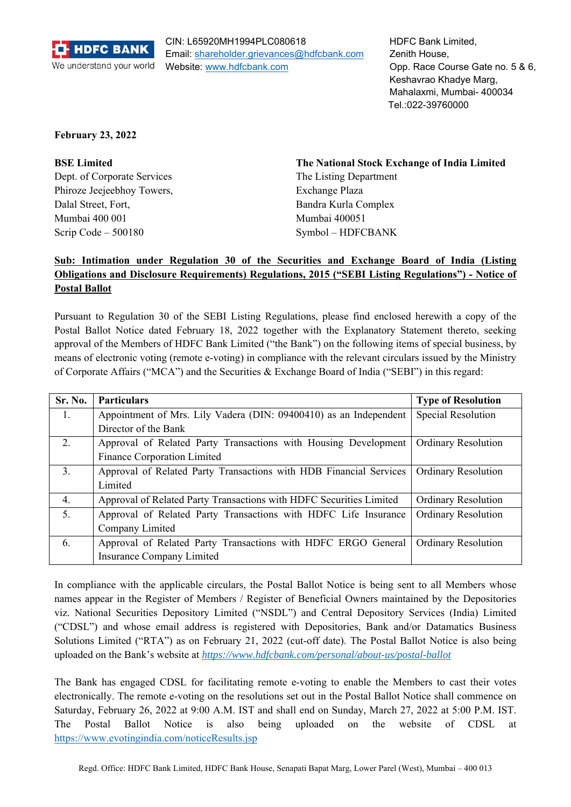

CIN: L65920MH1994PLC080618 Email: shareholder.grievances@hdfcbank.com Website: www.hdfcbank.com

HDFC Bank Limited, Zenith House, Opp. Race Course Gate no. 5 & 6, Keshavrao Khadye Marg, Mahalaxmi, Mumbai- 400034 Tel.:022-39760000

# **February 23, 2022**

Dept. of Corporate Services The Listing Department Phiroze Jeejeebhoy Towers, Exchange Plaza Dalal Street, Fort, **Bandra Kurla Complex** Mumbai 400 001 Mumbai 400051 Scrip Code – 500180 Symbol – HDFCBANK

**BSE Limited The National Stock Exchange of India Limited** 

# **Sub: Intimation under Regulation 30 of the Securities and Exchange Board of India (Listing Obligations and Disclosure Requirements) Regulations, 2015 ("SEBI Listing Regulations") - Notice of Postal Ballot**

Pursuant to Regulation 30 of the SEBI Listing Regulations, please find enclosed herewith a copy of the Postal Ballot Notice dated February 18, 2022 together with the Explanatory Statement thereto, seeking approval of the Members of HDFC Bank Limited ("the Bank") on the following items of special business, by means of electronic voting (remote e‐voting) in compliance with the relevant circulars issued by the Ministry of Corporate Affairs ("MCA") and the Securities & Exchange Board of India ("SEBI") in this regard:

| Sr. No. | <b>Particulars</b>                                                  | <b>Type of Resolution</b>  |
|---------|---------------------------------------------------------------------|----------------------------|
| 1.      | Appointment of Mrs. Lily Vadera (DIN: 09400410) as an Independent   | Special Resolution         |
|         | Director of the Bank                                                |                            |
| 2.      | Approval of Related Party Transactions with Housing Development     | <b>Ordinary Resolution</b> |
|         | <b>Finance Corporation Limited</b>                                  |                            |
| 3.      | Approval of Related Party Transactions with HDB Financial Services  | <b>Ordinary Resolution</b> |
|         | Limited                                                             |                            |
| 4.      | Approval of Related Party Transactions with HDFC Securities Limited | <b>Ordinary Resolution</b> |
| 5.      | Approval of Related Party Transactions with HDFC Life Insurance     | <b>Ordinary Resolution</b> |
|         | Company Limited                                                     |                            |
| 6.      | Approval of Related Party Transactions with HDFC ERGO General       | <b>Ordinary Resolution</b> |
|         | Insurance Company Limited                                           |                            |

In compliance with the applicable circulars, the Postal Ballot Notice is being sent to all Members whose names appear in the Register of Members / Register of Beneficial Owners maintained by the Depositories viz. National Securities Depository Limited ("NSDL") and Central Depository Services (India) Limited ("CDSL") and whose email address is registered with Depositories, Bank and/or Datamatics Business Solutions Limited ("RTA") as on February 21, 2022 (cut-off date). The Postal Ballot Notice is also being uploaded on the Bank's website at *https://www.hdfcbank.com/personal/about-us/postal-ballot*

The Bank has engaged CDSL for facilitating remote e-voting to enable the Members to cast their votes electronically. The remote e‐voting on the resolutions set out in the Postal Ballot Notice shall commence on Saturday, February 26, 2022 at 9:00 A.M. IST and shall end on Sunday, March 27, 2022 at 5:00 P.M. IST. The Postal Ballot Notice is also being uploaded on the website of CDSL at https://www.evotingindia.com/noticeResults.jsp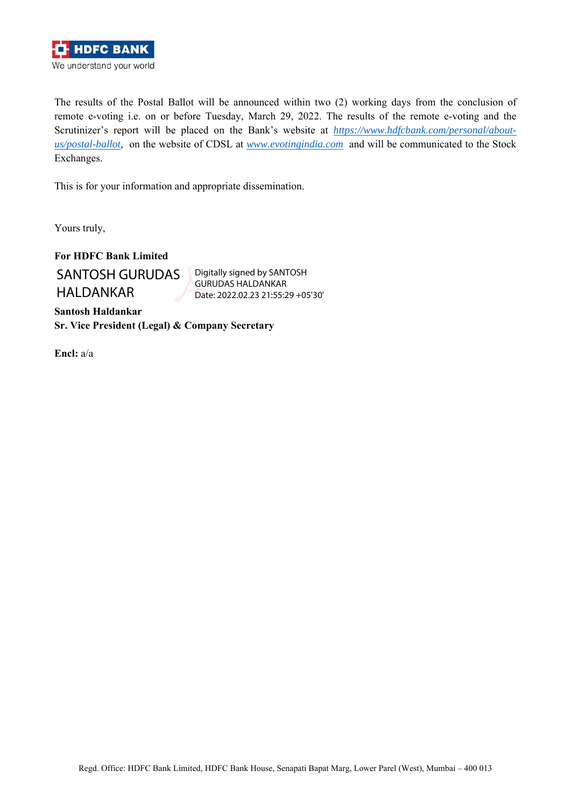

The results of the Postal Ballot will be announced within two (2) working days from the conclusion of remote e-voting i.e. on or before Tuesday, March 29, 2022. The results of the remote e-voting and the Scrutinizer's report will be placed on the Bank's website at *https://www.hdfcbank.com/personal/aboutus/postal-ballot,* on the website of CDSL at *www.evotingindia.com* and will be communicated to the Stock Exchanges.

This is for your information and appropriate dissemination.

Yours truly,

**For HDFC Bank Limited**  SANTOSH GURUDAS HALDANKAR

Digitally signed by SANTOSH GURUDAS HALDANKAR Date: 2022.02.23 21:55:29 +05'30'

**Santosh Haldankar Sr. Vice President (Legal) & Company Secretary** 

**Encl:** a/a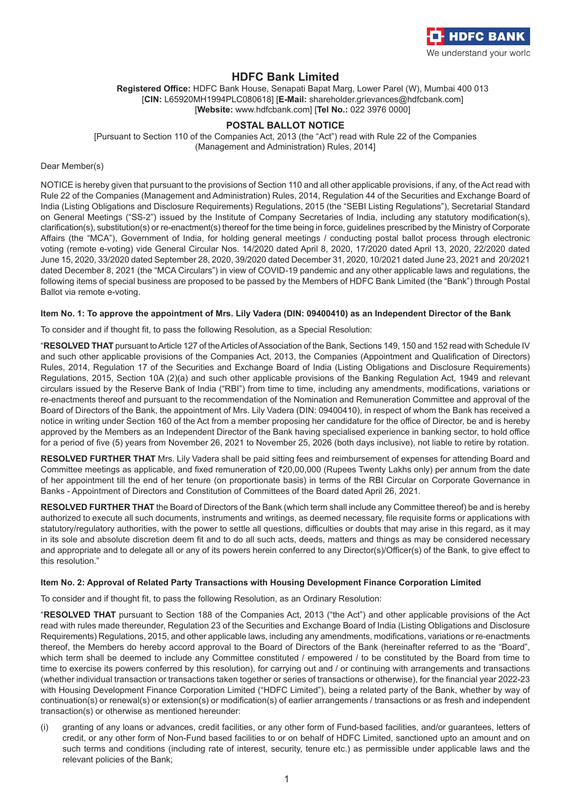

# **HDFC Bank Limited**

**Registered Office:** HDFC Bank House, Senapati Bapat Marg, Lower Parel (W), Mumbai 400 013 [**CIN:** L65920MH1994PLC080618] [**E-Mail:** shareholder.grievances@hdfcbank.com] [**Website:** www.hdfcbank.com] [**Tel No.:** 022 3976 0000]

# **POSTAL BALLOT NOTICE**

[Pursuant to Section 110 of the Companies Act, 2013 (the "Act") read with Rule 22 of the Companies (Management and Administration) Rules, 2014]

Dear Member(s)

NOTICE is hereby given that pursuant to the provisions of Section 110 and all other applicable provisions, if any, of the Act read with Rule 22 of the Companies (Management and Administration) Rules, 2014, Regulation 44 of the Securities and Exchange Board of India (Listing Obligations and Disclosure Requirements) Regulations, 2015 (the "SEBI Listing Regulations"), Secretarial Standard on General Meetings ("SS-2") issued by the Institute of Company Secretaries of India, including any statutory modification(s), clarification(s), substitution(s) or re-enactment(s) thereof for the time being in force, guidelines prescribed by the Ministry of Corporate Affairs (the "MCA"), Government of India, for holding general meetings / conducting postal ballot process through electronic voting (remote e-voting) vide General Circular Nos. 14/2020 dated April 8, 2020, 17/2020 dated April 13, 2020, 22/2020 dated June 15, 2020, 33/2020 dated September 28, 2020, 39/2020 dated December 31, 2020, 10/2021 dated June 23, 2021 and 20/2021 dated December 8, 2021 (the "MCA Circulars") in view of COVID-19 pandemic and any other applicable laws and regulations, the following items of special business are proposed to be passed by the Members of HDFC Bank Limited (the "Bank") through Postal Ballot via remote e-voting.

#### **Item No. 1: To approve the appointment of Mrs. Lily Vadera (DIN: 09400410) as an Independent Director of the Bank**

To consider and if thought fit, to pass the following Resolution, as a Special Resolution:

"**RESOLVED THAT** pursuant to Article 127 of the Articles of Association of the Bank, Sections 149, 150 and 152 read with Schedule IV and such other applicable provisions of the Companies Act, 2013, the Companies (Appointment and Qualification of Directors) Rules, 2014, Regulation 17 of the Securities and Exchange Board of India (Listing Obligations and Disclosure Requirements) Regulations, 2015, Section 10A (2)(a) and such other applicable provisions of the Banking Regulation Act, 1949 and relevant circulars issued by the Reserve Bank of India ("RBI") from time to time, including any amendments, modifications, variations or re-enactments thereof and pursuant to the recommendation of the Nomination and Remuneration Committee and approval of the Board of Directors of the Bank, the appointment of Mrs. Lily Vadera (DIN: 09400410), in respect of whom the Bank has received a notice in writing under Section 160 of the Act from a member proposing her candidature for the office of Director, be and is hereby approved by the Members as an Independent Director of the Bank having specialised experience in banking sector, to hold office for a period of five (5) years from November 26, 2021 to November 25, 2026 (both days inclusive), not liable to retire by rotation.

**RESOLVED FURTHER THAT** Mrs. Lily Vadera shall be paid sitting fees and reimbursement of expenses for attending Board and Committee meetings as applicable, and fixed remuneration of  $720,00,000$  (Rupees Twenty Lakhs only) per annum from the date of her appointment till the end of her tenure (on proportionate basis) in terms of the RBI Circular on Corporate Governance in Banks - Appointment of Directors and Constitution of Committees of the Board dated April 26, 2021.

**RESOLVED FURTHER THAT** the Board of Directors of the Bank (which term shall include any Committee thereof) be and is hereby authorized to execute all such documents, instruments and writings, as deemed necessary, file requisite forms or applications with statutory/regulatory authorities, with the power to settle all questions, difficulties or doubts that may arise in this regard, as it may in its sole and absolute discretion deem fit and to do all such acts, deeds, matters and things as may be considered necessary and appropriate and to delegate all or any of its powers herein conferred to any Director(s)/Officer(s) of the Bank, to give effect to this resolution."

#### **Item No. 2: Approval of Related Party Transactions with Housing Development Finance Corporation Limited**

To consider and if thought fit, to pass the following Resolution, as an Ordinary Resolution:

"**RESOLVED THAT** pursuant to Section 188 of the Companies Act, 2013 ("the Act") and other applicable provisions of the Act read with rules made thereunder, Regulation 23 of the Securities and Exchange Board of India (Listing Obligations and Disclosure Requirements) Regulations, 2015, and other applicable laws, including any amendments, modifications, variations or re-enactments thereof, the Members do hereby accord approval to the Board of Directors of the Bank (hereinafter referred to as the "Board", which term shall be deemed to include any Committee constituted / empowered / to be constituted by the Board from time to time to exercise its powers conferred by this resolution), for carrying out and / or continuing with arrangements and transactions (whether individual transaction or transactions taken together or series of transactions or otherwise), for the financial year 2022-23 with Housing Development Finance Corporation Limited ("HDFC Limited"), being a related party of the Bank, whether by way of continuation(s) or renewal(s) or extension(s) or modification(s) of earlier arrangements / transactions or as fresh and independent transaction(s) or otherwise as mentioned hereunder:

(i) granting of any loans or advances, credit facilities, or any other form of Fund-based facilities, and/or guarantees, letters of credit, or any other form of Non-Fund based facilities to or on behalf of HDFC Limited, sanctioned upto an amount and on such terms and conditions (including rate of interest, security, tenure etc.) as permissible under applicable laws and the relevant policies of the Bank;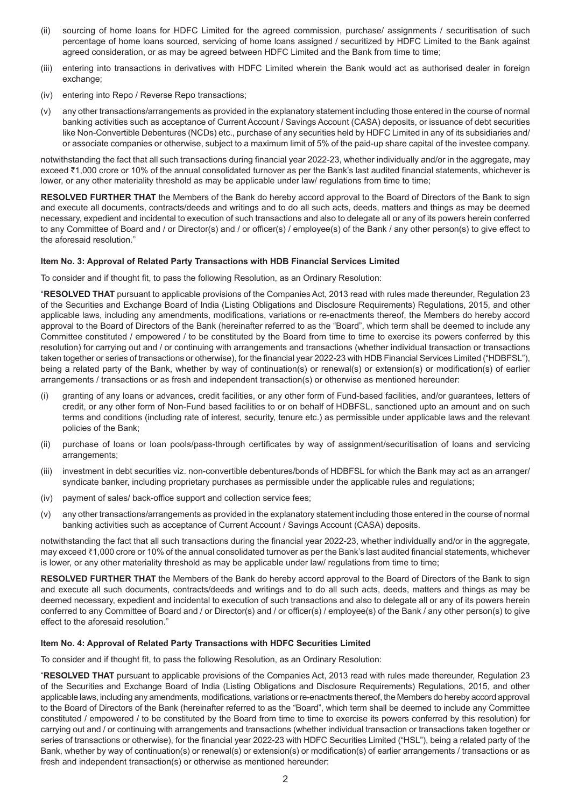- (ii) sourcing of home loans for HDFC Limited for the agreed commission, purchase/ assignments / securitisation of such percentage of home loans sourced, servicing of home loans assigned / securitized by HDFC Limited to the Bank against agreed consideration, or as may be agreed between HDFC Limited and the Bank from time to time;
- (iii) entering into transactions in derivatives with HDFC Limited wherein the Bank would act as authorised dealer in foreign exchange;
- (iv) entering into Repo / Reverse Repo transactions;
- (v) any other transactions/arrangements as provided in the explanatory statement including those entered in the course of normal banking activities such as acceptance of Current Account / Savings Account (CASA) deposits, or issuance of debt securities like Non-Convertible Debentures (NCDs) etc., purchase of any securities held by HDFC Limited in any of its subsidiaries and/ or associate companies or otherwise, subject to a maximum limit of 5% of the paid-up share capital of the investee company.

notwithstanding the fact that all such transactions during financial year 2022-23, whether individually and/or in the aggregate, may exceed ₹1,000 crore or 10% of the annual consolidated turnover as per the Bank's last audited financial statements, whichever is lower, or any other materiality threshold as may be applicable under law/ regulations from time to time;

**RESOLVED FURTHER THAT** the Members of the Bank do hereby accord approval to the Board of Directors of the Bank to sign and execute all documents, contracts/deeds and writings and to do all such acts, deeds, matters and things as may be deemed necessary, expedient and incidental to execution of such transactions and also to delegate all or any of its powers herein conferred to any Committee of Board and / or Director(s) and / or officer(s) / employee(s) of the Bank / any other person(s) to give effect to the aforesaid resolution."

### **Item No. 3: Approval of Related Party Transactions with HDB Financial Services Limited**

To consider and if thought fit, to pass the following Resolution, as an Ordinary Resolution:

"**RESOLVED THAT** pursuant to applicable provisions of the Companies Act, 2013 read with rules made thereunder, Regulation 23 of the Securities and Exchange Board of India (Listing Obligations and Disclosure Requirements) Regulations, 2015, and other applicable laws, including any amendments, modifications, variations or re-enactments thereof, the Members do hereby accord approval to the Board of Directors of the Bank (hereinafter referred to as the "Board", which term shall be deemed to include any Committee constituted / empowered / to be constituted by the Board from time to time to exercise its powers conferred by this resolution) for carrying out and / or continuing with arrangements and transactions (whether individual transaction or transactions taken together or series of transactions or otherwise), for the financial year 2022-23 with HDB Financial Services Limited ("HDBFSL"), being a related party of the Bank, whether by way of continuation(s) or renewal(s) or extension(s) or modification(s) of earlier arrangements / transactions or as fresh and independent transaction(s) or otherwise as mentioned hereunder:

- (i) granting of any loans or advances, credit facilities, or any other form of Fund-based facilities, and/or guarantees, letters of credit, or any other form of Non-Fund based facilities to or on behalf of HDBFSL, sanctioned upto an amount and on such terms and conditions (including rate of interest, security, tenure etc.) as permissible under applicable laws and the relevant policies of the Bank;
- (ii) purchase of loans or loan pools/pass-through certificates by way of assignment/securitisation of loans and servicing arrangements;
- (iii) investment in debt securities viz. non-convertible debentures/bonds of HDBFSL for which the Bank may act as an arranger/ syndicate banker, including proprietary purchases as permissible under the applicable rules and regulations;
- (iv) payment of sales/ back-office support and collection service fees;
- (v) any other transactions/arrangements as provided in the explanatory statement including those entered in the course of normal banking activities such as acceptance of Current Account / Savings Account (CASA) deposits.

notwithstanding the fact that all such transactions during the financial year 2022-23, whether individually and/or in the aggregate, may exceed `1,000 crore or 10% of the annual consolidated turnover as per the Bank's last audited financial statements, whichever is lower, or any other materiality threshold as may be applicable under law/ regulations from time to time;

**RESOLVED FURTHER THAT** the Members of the Bank do hereby accord approval to the Board of Directors of the Bank to sign and execute all such documents, contracts/deeds and writings and to do all such acts, deeds, matters and things as may be deemed necessary, expedient and incidental to execution of such transactions and also to delegate all or any of its powers herein conferred to any Committee of Board and / or Director(s) and / or officer(s) / employee(s) of the Bank / any other person(s) to give effect to the aforesaid resolution."

#### **Item No. 4: Approval of Related Party Transactions with HDFC Securities Limited**

To consider and if thought fit, to pass the following Resolution, as an Ordinary Resolution:

"**RESOLVED THAT** pursuant to applicable provisions of the Companies Act, 2013 read with rules made thereunder, Regulation 23 of the Securities and Exchange Board of India (Listing Obligations and Disclosure Requirements) Regulations, 2015, and other applicable laws, including any amendments, modifications, variations or re-enactments thereof, the Members do hereby accord approval to the Board of Directors of the Bank (hereinafter referred to as the "Board", which term shall be deemed to include any Committee constituted / empowered / to be constituted by the Board from time to time to exercise its powers conferred by this resolution) for carrying out and / or continuing with arrangements and transactions (whether individual transaction or transactions taken together or series of transactions or otherwise), for the financial year 2022-23 with HDFC Securities Limited ("HSL"), being a related party of the Bank, whether by way of continuation(s) or renewal(s) or extension(s) or modification(s) of earlier arrangements / transactions or as fresh and independent transaction(s) or otherwise as mentioned hereunder: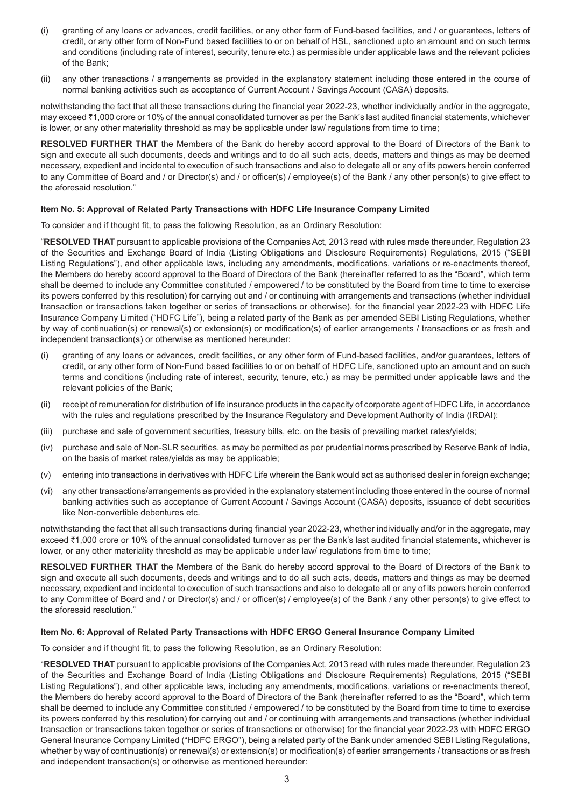- (i) granting of any loans or advances, credit facilities, or any other form of Fund-based facilities, and / or guarantees, letters of credit, or any other form of Non-Fund based facilities to or on behalf of HSL, sanctioned upto an amount and on such terms and conditions (including rate of interest, security, tenure etc.) as permissible under applicable laws and the relevant policies of the Bank;
- (ii) any other transactions / arrangements as provided in the explanatory statement including those entered in the course of normal banking activities such as acceptance of Current Account / Savings Account (CASA) deposits.

notwithstanding the fact that all these transactions during the financial year 2022-23, whether individually and/or in the aggregate, may exceed ₹1,000 crore or 10% of the annual consolidated turnover as per the Bank's last audited financial statements, whichever is lower, or any other materiality threshold as may be applicable under law/ regulations from time to time;

**RESOLVED FURTHER THAT** the Members of the Bank do hereby accord approval to the Board of Directors of the Bank to sign and execute all such documents, deeds and writings and to do all such acts, deeds, matters and things as may be deemed necessary, expedient and incidental to execution of such transactions and also to delegate all or any of its powers herein conferred to any Committee of Board and / or Director(s) and / or officer(s) / employee(s) of the Bank / any other person(s) to give effect to the aforesaid resolution."

# **Item No. 5: Approval of Related Party Transactions with HDFC Life Insurance Company Limited**

To consider and if thought fit, to pass the following Resolution, as an Ordinary Resolution:

"**RESOLVED THAT** pursuant to applicable provisions of the Companies Act, 2013 read with rules made thereunder, Regulation 23 of the Securities and Exchange Board of India (Listing Obligations and Disclosure Requirements) Regulations, 2015 ("SEBI Listing Regulations"), and other applicable laws, including any amendments, modifications, variations or re-enactments thereof, the Members do hereby accord approval to the Board of Directors of the Bank (hereinafter referred to as the "Board", which term shall be deemed to include any Committee constituted / empowered / to be constituted by the Board from time to time to exercise its powers conferred by this resolution) for carrying out and / or continuing with arrangements and transactions (whether individual transaction or transactions taken together or series of transactions or otherwise), for the financial year 2022-23 with HDFC Life Insurance Company Limited ("HDFC Life"), being a related party of the Bank as per amended SEBI Listing Regulations, whether by way of continuation(s) or renewal(s) or extension(s) or modification(s) of earlier arrangements / transactions or as fresh and independent transaction(s) or otherwise as mentioned hereunder:

- (i) granting of any loans or advances, credit facilities, or any other form of Fund-based facilities, and/or guarantees, letters of credit, or any other form of Non-Fund based facilities to or on behalf of HDFC Life, sanctioned upto an amount and on such terms and conditions (including rate of interest, security, tenure, etc.) as may be permitted under applicable laws and the relevant policies of the Bank;
- (ii) receipt of remuneration for distribution of life insurance products in the capacity of corporate agent of HDFC Life, in accordance with the rules and regulations prescribed by the Insurance Regulatory and Development Authority of India (IRDAI);
- (iii) purchase and sale of government securities, treasury bills, etc. on the basis of prevailing market rates/yields;
- (iv) purchase and sale of Non-SLR securities, as may be permitted as per prudential norms prescribed by Reserve Bank of India, on the basis of market rates/yields as may be applicable;
- (v) entering into transactions in derivatives with HDFC Life wherein the Bank would act as authorised dealer in foreign exchange;
- (vi) any other transactions/arrangements as provided in the explanatory statement including those entered in the course of normal banking activities such as acceptance of Current Account / Savings Account (CASA) deposits, issuance of debt securities like Non-convertible debentures etc.

notwithstanding the fact that all such transactions during financial year 2022-23, whether individually and/or in the aggregate, may exceed ₹1,000 crore or 10% of the annual consolidated turnover as per the Bank's last audited financial statements, whichever is lower, or any other materiality threshold as may be applicable under law/ regulations from time to time;

**RESOLVED FURTHER THAT** the Members of the Bank do hereby accord approval to the Board of Directors of the Bank to sign and execute all such documents, deeds and writings and to do all such acts, deeds, matters and things as may be deemed necessary, expedient and incidental to execution of such transactions and also to delegate all or any of its powers herein conferred to any Committee of Board and / or Director(s) and / or officer(s) / employee(s) of the Bank / any other person(s) to give effect to the aforesaid resolution."

#### **Item No. 6: Approval of Related Party Transactions with HDFC ERGO General Insurance Company Limited**

To consider and if thought fit, to pass the following Resolution, as an Ordinary Resolution:

"**RESOLVED THAT** pursuant to applicable provisions of the Companies Act, 2013 read with rules made thereunder, Regulation 23 of the Securities and Exchange Board of India (Listing Obligations and Disclosure Requirements) Regulations, 2015 ("SEBI Listing Regulations"), and other applicable laws, including any amendments, modifications, variations or re-enactments thereof, the Members do hereby accord approval to the Board of Directors of the Bank (hereinafter referred to as the "Board", which term shall be deemed to include any Committee constituted / empowered / to be constituted by the Board from time to time to exercise its powers conferred by this resolution) for carrying out and / or continuing with arrangements and transactions (whether individual transaction or transactions taken together or series of transactions or otherwise) for the financial year 2022-23 with HDFC ERGO General Insurance Company Limited ("HDFC ERGO"), being a related party of the Bank under amended SEBI Listing Regulations, whether by way of continuation(s) or renewal(s) or extension(s) or modification(s) of earlier arrangements / transactions or as fresh and independent transaction(s) or otherwise as mentioned hereunder: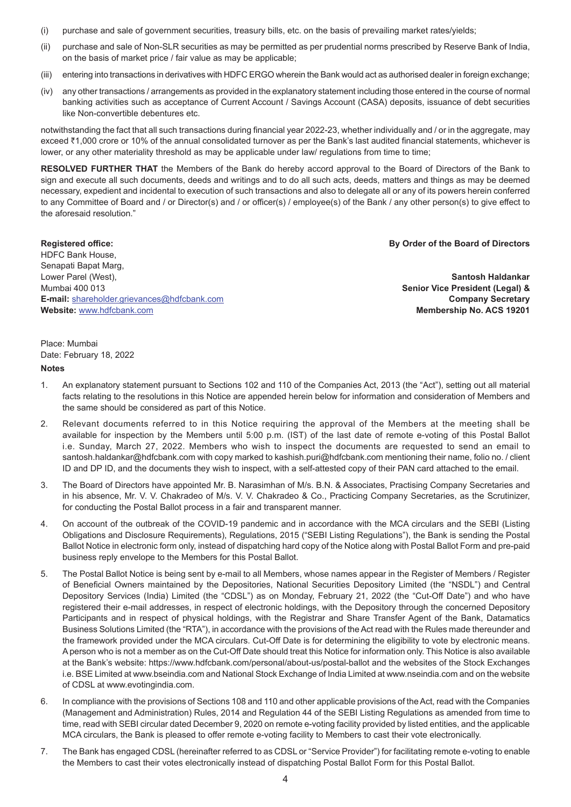- (i) purchase and sale of government securities, treasury bills, etc. on the basis of prevailing market rates/yields;
- (ii) purchase and sale of Non-SLR securities as may be permitted as per prudential norms prescribed by Reserve Bank of India, on the basis of market price / fair value as may be applicable;
- (iii) entering into transactions in derivatives with HDFC ERGO wherein the Bank would act as authorised dealer in foreign exchange;
- (iv) any other transactions / arrangements as provided in the explanatory statement including those entered in the course of normal banking activities such as acceptance of Current Account / Savings Account (CASA) deposits, issuance of debt securities like Non-convertible debentures etc.

notwithstanding the fact that all such transactions during financial year 2022-23, whether individually and / or in the aggregate, may exceed ₹1,000 crore or 10% of the annual consolidated turnover as per the Bank's last audited financial statements, whichever is lower, or any other materiality threshold as may be applicable under law/ regulations from time to time;

**RESOLVED FURTHER THAT** the Members of the Bank do hereby accord approval to the Board of Directors of the Bank to sign and execute all such documents, deeds and writings and to do all such acts, deeds, matters and things as may be deemed necessary, expedient and incidental to execution of such transactions and also to delegate all or any of its powers herein conferred to any Committee of Board and / or Director(s) and / or officer(s) / employee(s) of the Bank / any other person(s) to give effect to the aforesaid resolution."

**Registered office: By Order of the Board of Directors** HDFC Bank House, Senapati Bapat Marg, Lower Parel (West), **Santosh Haldankar** Mumbai 400 013 **Senior Vice President (Legal) & E-mail:** shareholder.grievances@hdfcbank.com **Company Secretary Website:** www.hdfcbank.com **Membership No. ACS 19201**

Place: Mumbai Date: February 18, 2022

#### **Notes**

- 1. An explanatory statement pursuant to Sections 102 and 110 of the Companies Act, 2013 (the "Act"), setting out all material facts relating to the resolutions in this Notice are appended herein below for information and consideration of Members and the same should be considered as part of this Notice.
- 2. Relevant documents referred to in this Notice requiring the approval of the Members at the meeting shall be available for inspection by the Members until 5:00 p.m. (IST) of the last date of remote e-voting of this Postal Ballot i.e. Sunday, March 27, 2022. Members who wish to inspect the documents are requested to send an email to santosh.haldankar@hdfcbank.com with copy marked to kashish.puri@hdfcbank.com mentioning their name, folio no. / client ID and DP ID, and the documents they wish to inspect, with a self-attested copy of their PAN card attached to the email.
- 3. The Board of Directors have appointed Mr. B. Narasimhan of M/s. B.N. & Associates, Practising Company Secretaries and in his absence, Mr. V. V. Chakradeo of M/s. V. V. Chakradeo & Co., Practicing Company Secretaries, as the Scrutinizer, for conducting the Postal Ballot process in a fair and transparent manner.
- 4. On account of the outbreak of the COVID-19 pandemic and in accordance with the MCA circulars and the SEBI (Listing Obligations and Disclosure Requirements), Regulations, 2015 ("SEBI Listing Regulations"), the Bank is sending the Postal Ballot Notice in electronic form only, instead of dispatching hard copy of the Notice along with Postal Ballot Form and pre-paid business reply envelope to the Members for this Postal Ballot.
- 5. The Postal Ballot Notice is being sent by e-mail to all Members, whose names appear in the Register of Members / Register of Beneficial Owners maintained by the Depositories, National Securities Depository Limited (the "NSDL") and Central Depository Services (India) Limited (the "CDSL") as on Monday, February 21, 2022 (the "Cut-Off Date") and who have registered their e-mail addresses, in respect of electronic holdings, with the Depository through the concerned Depository Participants and in respect of physical holdings, with the Registrar and Share Transfer Agent of the Bank, Datamatics Business Solutions Limited (the "RTA"), in accordance with the provisions of the Act read with the Rules made thereunder and the framework provided under the MCA circulars. Cut-Off Date is for determining the eligibility to vote by electronic means. A person who is not a member as on the Cut-Off Date should treat this Notice for information only. This Notice is also available at the Bank's website: https://www.hdfcbank.com/personal/about-us/postal-ballot and the websites of the Stock Exchanges i.e. BSE Limited at www.bseindia.com and National Stock Exchange of India Limited at www.nseindia.com and on the website of CDSL at www.evotingindia.com.
- 6. In compliance with the provisions of Sections 108 and 110 and other applicable provisions of the Act, read with the Companies (Management and Administration) Rules, 2014 and Regulation 44 of the SEBI Listing Regulations as amended from time to time, read with SEBI circular dated December 9, 2020 on remote e-voting facility provided by listed entities, and the applicable MCA circulars, the Bank is pleased to offer remote e-voting facility to Members to cast their vote electronically.
- 7. The Bank has engaged CDSL (hereinafter referred to as CDSL or "Service Provider") for facilitating remote e-voting to enable the Members to cast their votes electronically instead of dispatching Postal Ballot Form for this Postal Ballot.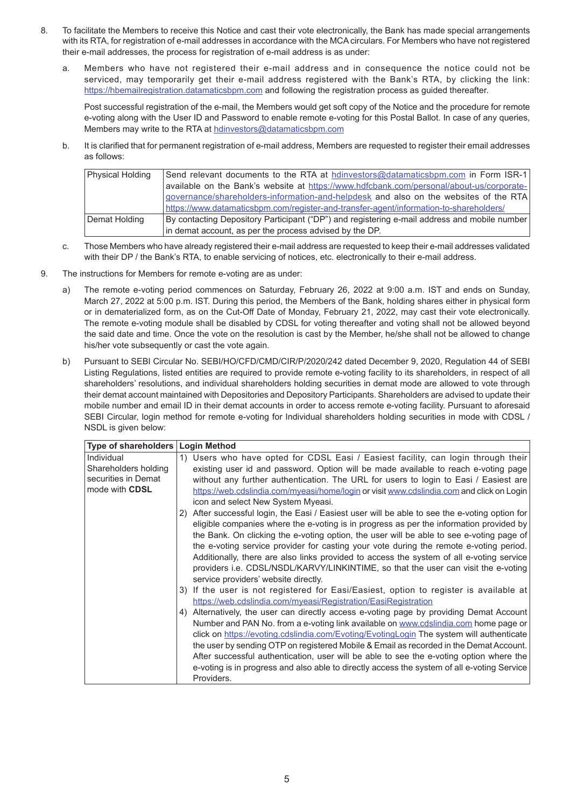- 8. To facilitate the Members to receive this Notice and cast their vote electronically, the Bank has made special arrangements with its RTA, for registration of e-mail addresses in accordance with the MCA circulars. For Members who have not registered their e-mail addresses, the process for registration of e-mail address is as under:
	- a. Members who have not registered their e-mail address and in consequence the notice could not be serviced, may temporarily get their e-mail address registered with the Bank's RTA, by clicking the link: https://hbemailregistration.datamaticsbpm.com and following the registration process as guided thereafter.

Post successful registration of the e-mail, the Members would get soft copy of the Notice and the procedure for remote e-voting along with the User ID and Password to enable remote e-voting for this Postal Ballot. In case of any queries, Members may write to the RTA at hdinvestors@datamaticsbpm.com

b. It is clarified that for permanent registration of e-mail address, Members are requested to register their email addresses as follows:

| <b>Physical Holding</b> | Send relevant documents to the RTA at hdinvestors@datamaticsbpm.com in Form ISR-1            |
|-------------------------|----------------------------------------------------------------------------------------------|
|                         | available on the Bank's website at https://www.hdfcbank.com/personal/about-us/corporate-     |
|                         | governance/shareholders-information-and-helpdesk and also on the websites of the RTA         |
|                         | https://www.datamaticsbpm.com/register-and-transfer-agent/information-to-shareholders/       |
| Demat Holding           | By contacting Depository Participant ("DP") and registering e-mail address and mobile number |
|                         | in demat account, as per the process advised by the DP.                                      |

- c. Those Members who have already registered their e-mail address are requested to keep their e-mail addresses validated with their DP / the Bank's RTA, to enable servicing of notices, etc. electronically to their e-mail address.
- 9. The instructions for Members for remote e-voting are as under:
	- a) The remote e-voting period commences on Saturday, February 26, 2022 at 9:00 a.m. IST and ends on Sunday, March 27, 2022 at 5:00 p.m. IST. During this period, the Members of the Bank, holding shares either in physical form or in dematerialized form, as on the Cut-Off Date of Monday, February 21, 2022, may cast their vote electronically. The remote e-voting module shall be disabled by CDSL for voting thereafter and voting shall not be allowed beyond the said date and time. Once the vote on the resolution is cast by the Member, he/she shall not be allowed to change his/her vote subsequently or cast the vote again.
	- b) Pursuant to SEBI Circular No. SEBI/HO/CFD/CMD/CIR/P/2020/242 dated December 9, 2020, Regulation 44 of SEBI Listing Regulations, listed entities are required to provide remote e-voting facility to its shareholders, in respect of all shareholders' resolutions, and individual shareholders holding securities in demat mode are allowed to vote through their demat account maintained with Depositories and Depository Participants. Shareholders are advised to update their mobile number and email ID in their demat accounts in order to access remote e-voting facility. Pursuant to aforesaid SEBI Circular, login method for remote e-voting for Individual shareholders holding securities in mode with CDSL / NSDL is given below:

| Type of shareholders                                      | <b>Login Method</b>                                                                                                                                                                                                                                                                                                                                                                                                                                                                                                                                                                                       |  |
|-----------------------------------------------------------|-----------------------------------------------------------------------------------------------------------------------------------------------------------------------------------------------------------------------------------------------------------------------------------------------------------------------------------------------------------------------------------------------------------------------------------------------------------------------------------------------------------------------------------------------------------------------------------------------------------|--|
| Individual<br>Shareholders holding<br>securities in Demat | 1) Users who have opted for CDSL Easi / Easiest facility, can login through their<br>existing user id and password. Option will be made available to reach e-voting page                                                                                                                                                                                                                                                                                                                                                                                                                                  |  |
| mode with CDSL                                            | without any further authentication. The URL for users to login to Easi / Easiest are<br>https://web.cdslindia.com/myeasi/home/login or visit www.cdslindia.com and click on Login<br>icon and select New System Myeasi.                                                                                                                                                                                                                                                                                                                                                                                   |  |
|                                                           | 2) After successful login, the Easi / Easiest user will be able to see the e-voting option for<br>eligible companies where the e-voting is in progress as per the information provided by<br>the Bank. On clicking the e-voting option, the user will be able to see e-voting page of<br>the e-voting service provider for casting your vote during the remote e-voting period.<br>Additionally, there are also links provided to access the system of all e-voting service<br>providers i.e. CDSL/NSDL/KARVY/LINKINTIME, so that the user can visit the e-voting<br>service providers' website directly. |  |
|                                                           | 3) If the user is not registered for Easi/Easiest, option to register is available at<br>https://web.cdslindia.com/myeasi/Registration/EasiRegistration                                                                                                                                                                                                                                                                                                                                                                                                                                                   |  |
|                                                           | 4) Alternatively, the user can directly access e-voting page by providing Demat Account<br>Number and PAN No. from a e-voting link available on www.cdslindia.com home page or<br>click on https://evoting.cdslindia.com/Evoting/EvotingLogin The system will authenticate<br>the user by sending OTP on registered Mobile & Email as recorded in the Demat Account.<br>After successful authentication, user will be able to see the e-voting option where the<br>e-voting is in progress and also able to directly access the system of all e-voting Service<br>Providers.                              |  |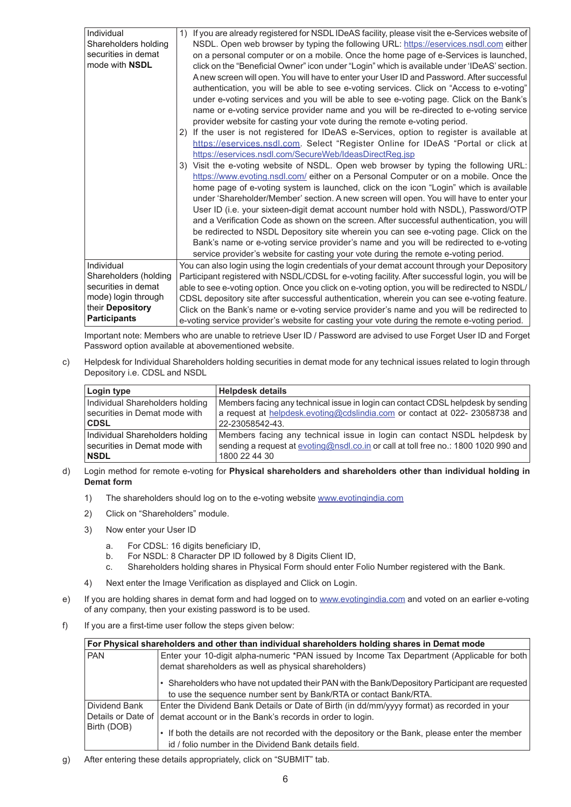| Individual<br>Shareholders holding           | If you are already registered for NSDL IDeAS facility, please visit the e-Services website of<br>1)<br>NSDL. Open web browser by typing the following URL: https://eservices.nsdl.com either                                                                                                                                                                                                                                                                                                                                                                                                                                                    |
|----------------------------------------------|-------------------------------------------------------------------------------------------------------------------------------------------------------------------------------------------------------------------------------------------------------------------------------------------------------------------------------------------------------------------------------------------------------------------------------------------------------------------------------------------------------------------------------------------------------------------------------------------------------------------------------------------------|
| securities in demat<br>mode with <b>NSDL</b> | on a personal computer or on a mobile. Once the home page of e-Services is launched,<br>click on the "Beneficial Owner" icon under "Login" which is available under 'IDeAS' section.<br>A new screen will open. You will have to enter your User ID and Password. After successful<br>authentication, you will be able to see e-voting services. Click on "Access to e-voting"<br>under e-voting services and you will be able to see e-voting page. Click on the Bank's<br>name or e-voting service provider name and you will be re-directed to e-voting service                                                                              |
|                                              | provider website for casting your vote during the remote e-voting period.                                                                                                                                                                                                                                                                                                                                                                                                                                                                                                                                                                       |
|                                              | If the user is not registered for IDeAS e-Services, option to register is available at<br>2)<br>https://eservices.nsdl.com. Select "Register Online for IDeAS "Portal or click at<br>https://eservices.nsdl.com/SecureWeb/IdeasDirectReq.jsp                                                                                                                                                                                                                                                                                                                                                                                                    |
|                                              | 3) Visit the e-voting website of NSDL. Open web browser by typing the following URL:<br>https://www.evoting.nsdl.com/ either on a Personal Computer or on a mobile. Once the                                                                                                                                                                                                                                                                                                                                                                                                                                                                    |
|                                              | home page of e-voting system is launched, click on the icon "Login" which is available<br>under 'Shareholder/Member' section. A new screen will open. You will have to enter your<br>User ID (i.e. your sixteen-digit demat account number hold with NSDL), Password/OTP<br>and a Verification Code as shown on the screen. After successful authentication, you will<br>be redirected to NSDL Depository site wherein you can see e-voting page. Click on the<br>Bank's name or e-voting service provider's name and you will be redirected to e-voting<br>service provider's website for casting your vote during the remote e-voting period. |
| Individual                                   | You can also login using the login credentials of your demat account through your Depository                                                                                                                                                                                                                                                                                                                                                                                                                                                                                                                                                    |
| Shareholders (holding                        | Participant registered with NSDL/CDSL for e-voting facility. After successful login, you will be                                                                                                                                                                                                                                                                                                                                                                                                                                                                                                                                                |
| securities in demat                          | able to see e-voting option. Once you click on e-voting option, you will be redirected to NSDL/                                                                                                                                                                                                                                                                                                                                                                                                                                                                                                                                                 |
| mode) login through                          | CDSL depository site after successful authentication, wherein you can see e-voting feature.                                                                                                                                                                                                                                                                                                                                                                                                                                                                                                                                                     |
| their Depository<br><b>Participants</b>      | Click on the Bank's name or e-voting service provider's name and you will be redirected to<br>e-voting service provider's website for casting your vote during the remote e-voting period.                                                                                                                                                                                                                                                                                                                                                                                                                                                      |

Important note: Members who are unable to retrieve User ID / Password are advised to use Forget User ID and Forget Password option available at abovementioned website.

c) Helpdesk for Individual Shareholders holding securities in demat mode for any technical issues related to login through Depository i.e. CDSL and NSDL

| Login type                      | <b>Helpdesk details</b>                                                             |
|---------------------------------|-------------------------------------------------------------------------------------|
| Individual Shareholders holding | Members facing any technical issue in login can contact CDSL helpdesk by sending    |
| securities in Demat mode with   | a request at helpdesk.evoting@cdslindia.com or contact at 022-23058738 and          |
| <b>CDSL</b>                     | 22-23058542-43.                                                                     |
| Individual Shareholders holding | Members facing any technical issue in login can contact NSDL helpdesk by            |
| securities in Demat mode with   | sending a request at evoting@nsdl.co.in or call at toll free no.: 1800 1020 990 and |
| <b>NSDL</b>                     | 1800 22 44 30                                                                       |

## d) Login method for remote e-voting for **Physical shareholders and shareholders other than individual holding in Demat form**

- 1) The shareholders should log on to the e-voting website www.evotingindia.com
- 2) Click on "Shareholders" module.
- 3) Now enter your User ID
	- a. For CDSL: 16 digits beneficiary ID,
	- b. For NSDL: 8 Character DP ID followed by 8 Digits Client ID,
	- c. Shareholders holding shares in Physical Form should enter Folio Number registered with the Bank.
- 4) Next enter the Image Verification as displayed and Click on Login.
- e) If you are holding shares in demat form and had logged on to www.evotingindia.com and voted on an earlier e-voting of any company, then your existing password is to be used.
- f) If you are a first-time user follow the steps given below:

| For Physical shareholders and other than individual shareholders holding shares in Demat mode |                                                                                                  |  |  |  |
|-----------------------------------------------------------------------------------------------|--------------------------------------------------------------------------------------------------|--|--|--|
| <b>PAN</b>                                                                                    | Enter your 10-digit alpha-numeric *PAN issued by Income Tax Department (Applicable for both      |  |  |  |
|                                                                                               | demat shareholders as well as physical shareholders)                                             |  |  |  |
|                                                                                               | • Shareholders who have not updated their PAN with the Bank/Depository Participant are requested |  |  |  |
|                                                                                               | to use the sequence number sent by Bank/RTA or contact Bank/RTA.                                 |  |  |  |
| Dividend Bank                                                                                 | Enter the Dividend Bank Details or Date of Birth (in dd/mm/yyyy format) as recorded in your      |  |  |  |
| Details or Date of                                                                            | demat account or in the Bank's records in order to login.                                        |  |  |  |
| Birth (DOB)                                                                                   |                                                                                                  |  |  |  |
|                                                                                               | • If both the details are not recorded with the depository or the Bank, please enter the member  |  |  |  |
|                                                                                               | id / folio number in the Dividend Bank details field.                                            |  |  |  |

g) After entering these details appropriately, click on "SUBMIT" tab.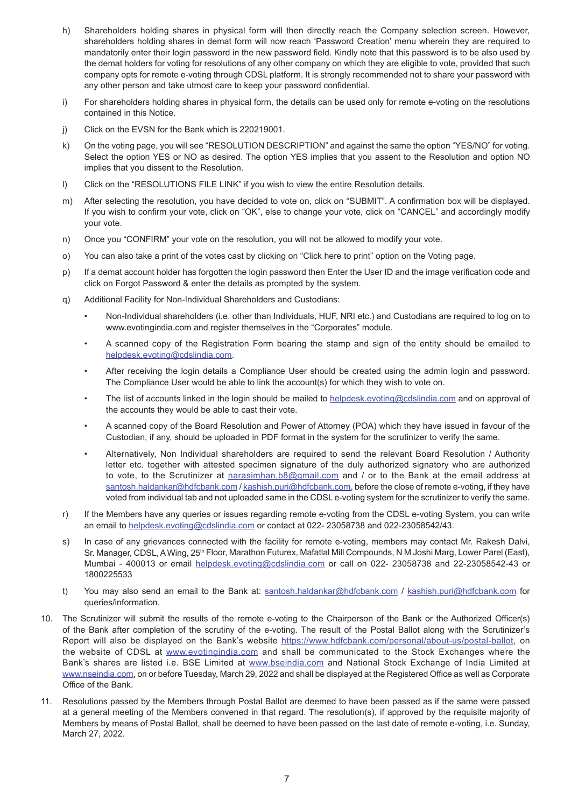- h) Shareholders holding shares in physical form will then directly reach the Company selection screen. However, shareholders holding shares in demat form will now reach 'Password Creation' menu wherein they are required to mandatorily enter their login password in the new password field. Kindly note that this password is to be also used by the demat holders for voting for resolutions of any other company on which they are eligible to vote, provided that such company opts for remote e-voting through CDSL platform. It is strongly recommended not to share your password with any other person and take utmost care to keep your password confidential.
- i) For shareholders holding shares in physical form, the details can be used only for remote e-voting on the resolutions contained in this Notice.
- j) Click on the EVSN for the Bank which is 220219001.
- k) On the voting page, you will see "RESOLUTION DESCRIPTION" and against the same the option "YES/NO" for voting. Select the option YES or NO as desired. The option YES implies that you assent to the Resolution and option NO implies that you dissent to the Resolution.
- l) Click on the "RESOLUTIONS FILE LINK" if you wish to view the entire Resolution details.
- m) After selecting the resolution, you have decided to vote on, click on "SUBMIT". A confirmation box will be displayed. If you wish to confirm your vote, click on "OK", else to change your vote, click on "CANCEL" and accordingly modify your vote.
- n) Once you "CONFIRM" your vote on the resolution, you will not be allowed to modify your vote.
- o) You can also take a print of the votes cast by clicking on "Click here to print" option on the Voting page.
- p) If a demat account holder has forgotten the login password then Enter the User ID and the image verification code and click on Forgot Password & enter the details as prompted by the system.
- q) Additional Facility for Non-Individual Shareholders and Custodians:
	- Non-Individual shareholders (i.e. other than Individuals, HUF, NRI etc.) and Custodians are required to log on to www.evotingindia.com and register themselves in the "Corporates" module.
	- A scanned copy of the Registration Form bearing the stamp and sign of the entity should be emailed to helpdesk.evoting@cdslindia.com.
	- After receiving the login details a Compliance User should be created using the admin login and password. The Compliance User would be able to link the account(s) for which they wish to vote on.
	- The list of accounts linked in the login should be mailed to helpdesk.evoting@cdslindia.com and on approval of the accounts they would be able to cast their vote.
	- A scanned copy of the Board Resolution and Power of Attorney (POA) which they have issued in favour of the Custodian, if any, should be uploaded in PDF format in the system for the scrutinizer to verify the same.
	- Alternatively, Non Individual shareholders are required to send the relevant Board Resolution / Authority letter etc. together with attested specimen signature of the duly authorized signatory who are authorized to vote, to the Scrutinizer at narasimhan.b8@gmail.com and / or to the Bank at the email address at santosh.haldankar@hdfcbank.com / kashish.puri@hdfcbank.com, before the close of remote e-voting, if they have voted from individual tab and not uploaded same in the CDSL e-voting system for the scrutinizer to verify the same.
- r) If the Members have any queries or issues regarding remote e-voting from the CDSL e-voting System, you can write an email to helpdesk.evoting@cdslindia.com or contact at 022- 23058738 and 022-23058542/43.
- s) In case of any grievances connected with the facility for remote e-voting, members may contact Mr. Rakesh Dalvi, Sr. Manager, CDSL, A Wing, 25<sup>th</sup> Floor, Marathon Futurex, Mafatlal Mill Compounds, N M Joshi Marg, Lower Parel (East), Mumbai - 400013 or email helpdesk.evoting@cdslindia.com or call on 022- 23058738 and 22-23058542-43 or 1800225533
- t) You may also send an email to the Bank at: santosh.haldankar@hdfcbank.com / kashish.puri@hdfcbank.com for queries/information.
- 10. The Scrutinizer will submit the results of the remote e-voting to the Chairperson of the Bank or the Authorized Officer(s) of the Bank after completion of the scrutiny of the e-voting. The result of the Postal Ballot along with the Scrutinizer's Report will also be displayed on the Bank's website https://www.hdfcbank.com/personal/about-us/postal-ballot, on the website of CDSL at www.evotingindia.com and shall be communicated to the Stock Exchanges where the Bank's shares are listed i.e. BSE Limited at www.bseindia.com and National Stock Exchange of India Limited at www.nseindia.com, on or before Tuesday, March 29, 2022 and shall be displayed at the Registered Office as well as Corporate Office of the Bank.
- 11. Resolutions passed by the Members through Postal Ballot are deemed to have been passed as if the same were passed at a general meeting of the Members convened in that regard. The resolution(s), if approved by the requisite majority of Members by means of Postal Ballot, shall be deemed to have been passed on the last date of remote e-voting, i.e. Sunday, March 27, 2022.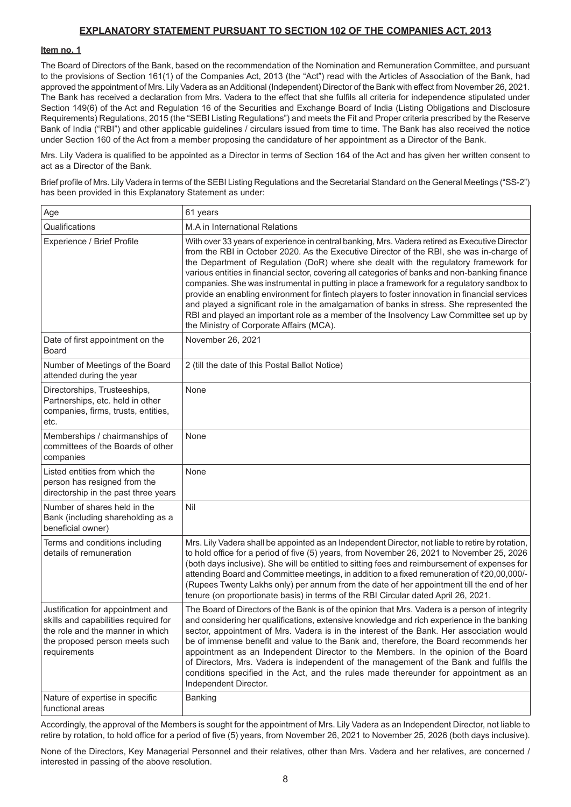# **EXPLANATORY STATEMENT PURSUANT TO SECTION 102 OF THE COMPANIES ACT, 2013**

# **Item no. 1**

The Board of Directors of the Bank, based on the recommendation of the Nomination and Remuneration Committee, and pursuant to the provisions of Section 161(1) of the Companies Act, 2013 (the "Act") read with the Articles of Association of the Bank, had approved the appointment of Mrs. Lily Vadera as an Additional (Independent) Director of the Bank with effect from November 26, 2021. The Bank has received a declaration from Mrs. Vadera to the effect that she fulfils all criteria for independence stipulated under Section 149(6) of the Act and Regulation 16 of the Securities and Exchange Board of India (Listing Obligations and Disclosure Requirements) Regulations, 2015 (the "SEBI Listing Regulations") and meets the Fit and Proper criteria prescribed by the Reserve Bank of India ("RBI") and other applicable guidelines / circulars issued from time to time. The Bank has also received the notice under Section 160 of the Act from a member proposing the candidature of her appointment as a Director of the Bank.

Mrs. Lily Vadera is qualified to be appointed as a Director in terms of Section 164 of the Act and has given her written consent to act as a Director of the Bank.

Brief profile of Mrs. Lily Vadera in terms of the SEBI Listing Regulations and the Secretarial Standard on the General Meetings ("SS-2") has been provided in this Explanatory Statement as under:

| Age                                                                                                                                                             | 61 years                                                                                                                                                                                                                                                                                                                                                                                                                                                                                                                                                                                                                                                                                                                                                                                                                 |
|-----------------------------------------------------------------------------------------------------------------------------------------------------------------|--------------------------------------------------------------------------------------------------------------------------------------------------------------------------------------------------------------------------------------------------------------------------------------------------------------------------------------------------------------------------------------------------------------------------------------------------------------------------------------------------------------------------------------------------------------------------------------------------------------------------------------------------------------------------------------------------------------------------------------------------------------------------------------------------------------------------|
| Qualifications                                                                                                                                                  | M.A in International Relations                                                                                                                                                                                                                                                                                                                                                                                                                                                                                                                                                                                                                                                                                                                                                                                           |
| Experience / Brief Profile                                                                                                                                      | With over 33 years of experience in central banking, Mrs. Vadera retired as Executive Director<br>from the RBI in October 2020. As the Executive Director of the RBI, she was in-charge of<br>the Department of Regulation (DoR) where she dealt with the regulatory framework for<br>various entities in financial sector, covering all categories of banks and non-banking finance<br>companies. She was instrumental in putting in place a framework for a regulatory sandbox to<br>provide an enabling environment for fintech players to foster innovation in financial services<br>and played a significant role in the amalgamation of banks in stress. She represented the<br>RBI and played an important role as a member of the Insolvency Law Committee set up by<br>the Ministry of Corporate Affairs (MCA). |
| Date of first appointment on the<br>Board                                                                                                                       | November 26, 2021                                                                                                                                                                                                                                                                                                                                                                                                                                                                                                                                                                                                                                                                                                                                                                                                        |
| Number of Meetings of the Board<br>attended during the year                                                                                                     | 2 (till the date of this Postal Ballot Notice)                                                                                                                                                                                                                                                                                                                                                                                                                                                                                                                                                                                                                                                                                                                                                                           |
| Directorships, Trusteeships,<br>Partnerships, etc. held in other<br>companies, firms, trusts, entities,<br>etc.                                                 | None                                                                                                                                                                                                                                                                                                                                                                                                                                                                                                                                                                                                                                                                                                                                                                                                                     |
| Memberships / chairmanships of<br>committees of the Boards of other<br>companies                                                                                | None                                                                                                                                                                                                                                                                                                                                                                                                                                                                                                                                                                                                                                                                                                                                                                                                                     |
| Listed entities from which the<br>person has resigned from the<br>directorship in the past three years                                                          | None                                                                                                                                                                                                                                                                                                                                                                                                                                                                                                                                                                                                                                                                                                                                                                                                                     |
| Number of shares held in the<br>Bank (including shareholding as a<br>beneficial owner)                                                                          | Nil                                                                                                                                                                                                                                                                                                                                                                                                                                                                                                                                                                                                                                                                                                                                                                                                                      |
| Terms and conditions including<br>details of remuneration                                                                                                       | Mrs. Lily Vadera shall be appointed as an Independent Director, not liable to retire by rotation,<br>to hold office for a period of five (5) years, from November 26, 2021 to November 25, 2026<br>(both days inclusive). She will be entitled to sitting fees and reimbursement of expenses for<br>attending Board and Committee meetings, in addition to a fixed remuneration of ₹20,00,000/-<br>(Rupees Twenty Lakhs only) per annum from the date of her appointment till the end of her<br>tenure (on proportionate basis) in terms of the RBI Circular dated April 26, 2021.                                                                                                                                                                                                                                       |
| Justification for appointment and<br>skills and capabilities required for<br>the role and the manner in which<br>the proposed person meets such<br>requirements | The Board of Directors of the Bank is of the opinion that Mrs. Vadera is a person of integrity<br>and considering her qualifications, extensive knowledge and rich experience in the banking<br>sector, appointment of Mrs. Vadera is in the interest of the Bank. Her association would<br>be of immense benefit and value to the Bank and, therefore, the Board recommends her<br>appointment as an Independent Director to the Members. In the opinion of the Board<br>of Directors, Mrs. Vadera is independent of the management of the Bank and fulfils the<br>conditions specified in the Act, and the rules made thereunder for appointment as an<br>Independent Director.                                                                                                                                        |
| Nature of expertise in specific<br>functional areas                                                                                                             | Banking                                                                                                                                                                                                                                                                                                                                                                                                                                                                                                                                                                                                                                                                                                                                                                                                                  |

Accordingly, the approval of the Members is sought for the appointment of Mrs. Lily Vadera as an Independent Director, not liable to retire by rotation, to hold office for a period of five (5) years, from November 26, 2021 to November 25, 2026 (both days inclusive).

None of the Directors, Key Managerial Personnel and their relatives, other than Mrs. Vadera and her relatives, are concerned / interested in passing of the above resolution.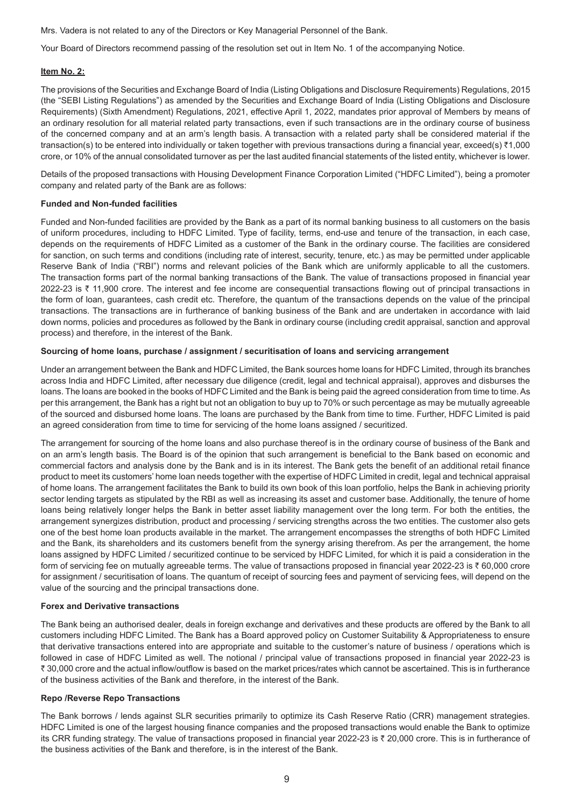Mrs. Vadera is not related to any of the Directors or Key Managerial Personnel of the Bank.

Your Board of Directors recommend passing of the resolution set out in Item No. 1 of the accompanying Notice.

# **Item No. 2:**

The provisions of the Securities and Exchange Board of India (Listing Obligations and Disclosure Requirements) Regulations, 2015 (the "SEBI Listing Regulations") as amended by the Securities and Exchange Board of India (Listing Obligations and Disclosure Requirements) (Sixth Amendment) Regulations, 2021, effective April 1, 2022, mandates prior approval of Members by means of an ordinary resolution for all material related party transactions, even if such transactions are in the ordinary course of business of the concerned company and at an arm's length basis. A transaction with a related party shall be considered material if the transaction(s) to be entered into individually or taken together with previous transactions during a financial year, exceed(s) ₹1,000 crore, or 10% of the annual consolidated turnover as per the last audited financial statements of the listed entity, whichever is lower.

Details of the proposed transactions with Housing Development Finance Corporation Limited ("HDFC Limited"), being a promoter company and related party of the Bank are as follows:

### **Funded and Non-funded facilities**

Funded and Non-funded facilities are provided by the Bank as a part of its normal banking business to all customers on the basis of uniform procedures, including to HDFC Limited. Type of facility, terms, end-use and tenure of the transaction, in each case, depends on the requirements of HDFC Limited as a customer of the Bank in the ordinary course. The facilities are considered for sanction, on such terms and conditions (including rate of interest, security, tenure, etc.) as may be permitted under applicable Reserve Bank of India ("RBI") norms and relevant policies of the Bank which are uniformly applicable to all the customers. The transaction forms part of the normal banking transactions of the Bank. The value of transactions proposed in financial year 2022-23 is  $\bar{\tau}$  11,900 crore. The interest and fee income are consequential transactions flowing out of principal transactions in the form of loan, guarantees, cash credit etc. Therefore, the quantum of the transactions depends on the value of the principal transactions. The transactions are in furtherance of banking business of the Bank and are undertaken in accordance with laid down norms, policies and procedures as followed by the Bank in ordinary course (including credit appraisal, sanction and approval process) and therefore, in the interest of the Bank.

## **Sourcing of home loans, purchase / assignment / securitisation of loans and servicing arrangement**

Under an arrangement between the Bank and HDFC Limited, the Bank sources home loans for HDFC Limited, through its branches across India and HDFC Limited, after necessary due diligence (credit, legal and technical appraisal), approves and disburses the loans. The loans are booked in the books of HDFC Limited and the Bank is being paid the agreed consideration from time to time. As per this arrangement, the Bank has a right but not an obligation to buy up to 70% or such percentage as may be mutually agreeable of the sourced and disbursed home loans. The loans are purchased by the Bank from time to time. Further, HDFC Limited is paid an agreed consideration from time to time for servicing of the home loans assigned / securitized.

The arrangement for sourcing of the home loans and also purchase thereof is in the ordinary course of business of the Bank and on an arm's length basis. The Board is of the opinion that such arrangement is beneficial to the Bank based on economic and commercial factors and analysis done by the Bank and is in its interest. The Bank gets the benefit of an additional retail finance product to meet its customers' home loan needs together with the expertise of HDFC Limited in credit, legal and technical appraisal of home loans. The arrangement facilitates the Bank to build its own book of this loan portfolio, helps the Bank in achieving priority sector lending targets as stipulated by the RBI as well as increasing its asset and customer base. Additionally, the tenure of home loans being relatively longer helps the Bank in better asset liability management over the long term. For both the entities, the arrangement synergizes distribution, product and processing / servicing strengths across the two entities. The customer also gets one of the best home loan products available in the market. The arrangement encompasses the strengths of both HDFC Limited and the Bank, its shareholders and its customers benefit from the synergy arising therefrom. As per the arrangement, the home loans assigned by HDFC Limited / securitized continue to be serviced by HDFC Limited, for which it is paid a consideration in the form of servicing fee on mutually agreeable terms. The value of transactions proposed in financial year 2022-23 is  $\bar{\tau}$  60,000 crore for assignment / securitisation of loans. The quantum of receipt of sourcing fees and payment of servicing fees, will depend on the value of the sourcing and the principal transactions done.

#### **Forex and Derivative transactions**

The Bank being an authorised dealer, deals in foreign exchange and derivatives and these products are offered by the Bank to all customers including HDFC Limited. The Bank has a Board approved policy on Customer Suitability & Appropriateness to ensure that derivative transactions entered into are appropriate and suitable to the customer's nature of business / operations which is followed in case of HDFC Limited as well. The notional / principal value of transactions proposed in financial year 2022-23 is ` 30,000 crore and the actual inflow/outflow is based on the market prices/rates which cannot be ascertained. This is in furtherance of the business activities of the Bank and therefore, in the interest of the Bank.

# **Repo /Reverse Repo Transactions**

The Bank borrows / lends against SLR securities primarily to optimize its Cash Reserve Ratio (CRR) management strategies. HDFC Limited is one of the largest housing finance companies and the proposed transactions would enable the Bank to optimize its CRR funding strategy. The value of transactions proposed in financial year 2022-23 is ₹ 20,000 crore. This is in furtherance of the business activities of the Bank and therefore, is in the interest of the Bank.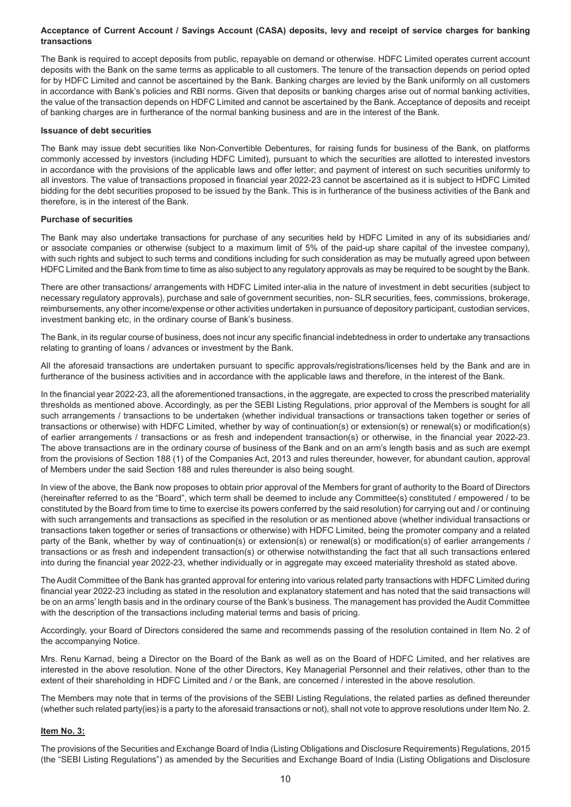## **Acceptance of Current Account / Savings Account (CASA) deposits, levy and receipt of service charges for banking transactions**

The Bank is required to accept deposits from public, repayable on demand or otherwise. HDFC Limited operates current account deposits with the Bank on the same terms as applicable to all customers. The tenure of the transaction depends on period opted for by HDFC Limited and cannot be ascertained by the Bank. Banking charges are levied by the Bank uniformly on all customers in accordance with Bank's policies and RBI norms. Given that deposits or banking charges arise out of normal banking activities, the value of the transaction depends on HDFC Limited and cannot be ascertained by the Bank. Acceptance of deposits and receipt of banking charges are in furtherance of the normal banking business and are in the interest of the Bank.

#### **Issuance of debt securities**

The Bank may issue debt securities like Non-Convertible Debentures, for raising funds for business of the Bank, on platforms commonly accessed by investors (including HDFC Limited), pursuant to which the securities are allotted to interested investors in accordance with the provisions of the applicable laws and offer letter; and payment of interest on such securities uniformly to all investors. The value of transactions proposed in financial year 2022-23 cannot be ascertained as it is subject to HDFC Limited bidding for the debt securities proposed to be issued by the Bank. This is in furtherance of the business activities of the Bank and therefore, is in the interest of the Bank.

#### **Purchase of securities**

The Bank may also undertake transactions for purchase of any securities held by HDFC Limited in any of its subsidiaries and/ or associate companies or otherwise (subject to a maximum limit of 5% of the paid-up share capital of the investee company), with such rights and subject to such terms and conditions including for such consideration as may be mutually agreed upon between HDFC Limited and the Bank from time to time as also subject to any regulatory approvals as may be required to be sought by the Bank.

There are other transactions/ arrangements with HDFC Limited inter-alia in the nature of investment in debt securities (subject to necessary regulatory approvals), purchase and sale of government securities, non- SLR securities, fees, commissions, brokerage, reimbursements, any other income/expense or other activities undertaken in pursuance of depository participant, custodian services, investment banking etc, in the ordinary course of Bank's business.

The Bank, in its regular course of business, does not incur any specific financial indebtedness in order to undertake any transactions relating to granting of loans / advances or investment by the Bank.

All the aforesaid transactions are undertaken pursuant to specific approvals/registrations/licenses held by the Bank and are in furtherance of the business activities and in accordance with the applicable laws and therefore, in the interest of the Bank.

In the financial year 2022-23, all the aforementioned transactions, in the aggregate, are expected to cross the prescribed materiality thresholds as mentioned above. Accordingly, as per the SEBI Listing Regulations, prior approval of the Members is sought for all such arrangements / transactions to be undertaken (whether individual transactions or transactions taken together or series of transactions or otherwise) with HDFC Limited, whether by way of continuation(s) or extension(s) or renewal(s) or modification(s) of earlier arrangements / transactions or as fresh and independent transaction(s) or otherwise, in the financial year 2022-23. The above transactions are in the ordinary course of business of the Bank and on an arm's length basis and as such are exempt from the provisions of Section 188 (1) of the Companies Act, 2013 and rules thereunder, however, for abundant caution, approval of Members under the said Section 188 and rules thereunder is also being sought.

In view of the above, the Bank now proposes to obtain prior approval of the Members for grant of authority to the Board of Directors (hereinafter referred to as the "Board", which term shall be deemed to include any Committee(s) constituted / empowered / to be constituted by the Board from time to time to exercise its powers conferred by the said resolution) for carrying out and / or continuing with such arrangements and transactions as specified in the resolution or as mentioned above (whether individual transactions or transactions taken together or series of transactions or otherwise) with HDFC Limited, being the promoter company and a related party of the Bank, whether by way of continuation(s) or extension(s) or renewal(s) or modification(s) of earlier arrangements / transactions or as fresh and independent transaction(s) or otherwise notwithstanding the fact that all such transactions entered into during the financial year 2022-23, whether individually or in aggregate may exceed materiality threshold as stated above.

The Audit Committee of the Bank has granted approval for entering into various related party transactions with HDFC Limited during financial year 2022-23 including as stated in the resolution and explanatory statement and has noted that the said transactions will be on an arms' length basis and in the ordinary course of the Bank's business. The management has provided the Audit Committee with the description of the transactions including material terms and basis of pricing.

Accordingly, your Board of Directors considered the same and recommends passing of the resolution contained in Item No. 2 of the accompanying Notice.

Mrs. Renu Karnad, being a Director on the Board of the Bank as well as on the Board of HDFC Limited, and her relatives are interested in the above resolution. None of the other Directors, Key Managerial Personnel and their relatives, other than to the extent of their shareholding in HDFC Limited and / or the Bank, are concerned / interested in the above resolution.

The Members may note that in terms of the provisions of the SEBI Listing Regulations, the related parties as defined thereunder (whether such related party(ies) is a party to the aforesaid transactions or not), shall not vote to approve resolutions under Item No. 2.

# **Item No. 3:**

The provisions of the Securities and Exchange Board of India (Listing Obligations and Disclosure Requirements) Regulations, 2015 (the "SEBI Listing Regulations") as amended by the Securities and Exchange Board of India (Listing Obligations and Disclosure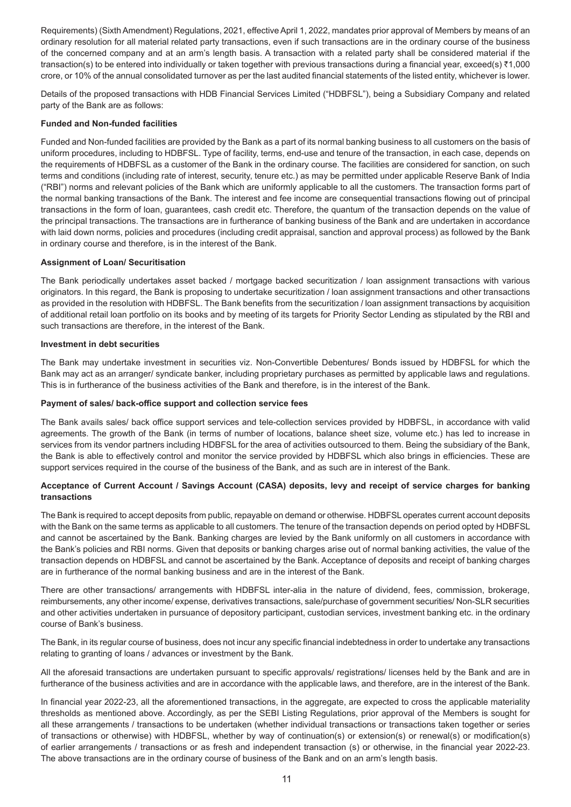Requirements) (Sixth Amendment) Regulations, 2021, effective April 1, 2022, mandates prior approval of Members by means of an ordinary resolution for all material related party transactions, even if such transactions are in the ordinary course of the business of the concerned company and at an arm's length basis. A transaction with a related party shall be considered material if the transaction(s) to be entered into individually or taken together with previous transactions during a financial year, exceed(s) ₹1,000 crore, or 10% of the annual consolidated turnover as per the last audited financial statements of the listed entity, whichever is lower.

Details of the proposed transactions with HDB Financial Services Limited ("HDBFSL"), being a Subsidiary Company and related party of the Bank are as follows:

### **Funded and Non-funded facilities**

Funded and Non-funded facilities are provided by the Bank as a part of its normal banking business to all customers on the basis of uniform procedures, including to HDBFSL. Type of facility, terms, end-use and tenure of the transaction, in each case, depends on the requirements of HDBFSL as a customer of the Bank in the ordinary course. The facilities are considered for sanction, on such terms and conditions (including rate of interest, security, tenure etc.) as may be permitted under applicable Reserve Bank of India ("RBI") norms and relevant policies of the Bank which are uniformly applicable to all the customers. The transaction forms part of the normal banking transactions of the Bank. The interest and fee income are consequential transactions flowing out of principal transactions in the form of loan, guarantees, cash credit etc. Therefore, the quantum of the transaction depends on the value of the principal transactions. The transactions are in furtherance of banking business of the Bank and are undertaken in accordance with laid down norms, policies and procedures (including credit appraisal, sanction and approval process) as followed by the Bank in ordinary course and therefore, is in the interest of the Bank.

### **Assignment of Loan/ Securitisation**

The Bank periodically undertakes asset backed / mortgage backed securitization / loan assignment transactions with various originators. In this regard, the Bank is proposing to undertake securitization / loan assignment transactions and other transactions as provided in the resolution with HDBFSL. The Bank benefits from the securitization / loan assignment transactions by acquisition of additional retail loan portfolio on its books and by meeting of its targets for Priority Sector Lending as stipulated by the RBI and such transactions are therefore, in the interest of the Bank.

#### **Investment in debt securities**

The Bank may undertake investment in securities viz. Non-Convertible Debentures/ Bonds issued by HDBFSL for which the Bank may act as an arranger/ syndicate banker, including proprietary purchases as permitted by applicable laws and regulations. This is in furtherance of the business activities of the Bank and therefore, is in the interest of the Bank.

#### **Payment of sales/ back-office support and collection service fees**

The Bank avails sales/ back office support services and tele-collection services provided by HDBFSL, in accordance with valid agreements. The growth of the Bank (in terms of number of locations, balance sheet size, volume etc.) has led to increase in services from its vendor partners including HDBFSL for the area of activities outsourced to them. Being the subsidiary of the Bank, the Bank is able to effectively control and monitor the service provided by HDBFSL which also brings in efficiencies. These are support services required in the course of the business of the Bank, and as such are in interest of the Bank.

# **Acceptance of Current Account / Savings Account (CASA) deposits, levy and receipt of service charges for banking transactions**

The Bank is required to accept deposits from public, repayable on demand or otherwise. HDBFSL operates current account deposits with the Bank on the same terms as applicable to all customers. The tenure of the transaction depends on period opted by HDBFSL and cannot be ascertained by the Bank. Banking charges are levied by the Bank uniformly on all customers in accordance with the Bank's policies and RBI norms. Given that deposits or banking charges arise out of normal banking activities, the value of the transaction depends on HDBFSL and cannot be ascertained by the Bank. Acceptance of deposits and receipt of banking charges are in furtherance of the normal banking business and are in the interest of the Bank.

There are other transactions/ arrangements with HDBFSL inter-alia in the nature of dividend, fees, commission, brokerage, reimbursements, any other income/ expense, derivatives transactions, sale/purchase of government securities/ Non-SLR securities and other activities undertaken in pursuance of depository participant, custodian services, investment banking etc. in the ordinary course of Bank's business.

The Bank, in its regular course of business, does not incur any specific financial indebtedness in order to undertake any transactions relating to granting of loans / advances or investment by the Bank.

All the aforesaid transactions are undertaken pursuant to specific approvals/ registrations/ licenses held by the Bank and are in furtherance of the business activities and are in accordance with the applicable laws, and therefore, are in the interest of the Bank.

In financial year 2022-23, all the aforementioned transactions, in the aggregate, are expected to cross the applicable materiality thresholds as mentioned above. Accordingly, as per the SEBI Listing Regulations, prior approval of the Members is sought for all these arrangements / transactions to be undertaken (whether individual transactions or transactions taken together or series of transactions or otherwise) with HDBFSL, whether by way of continuation(s) or extension(s) or renewal(s) or modification(s) of earlier arrangements / transactions or as fresh and independent transaction (s) or otherwise, in the financial year 2022-23. The above transactions are in the ordinary course of business of the Bank and on an arm's length basis.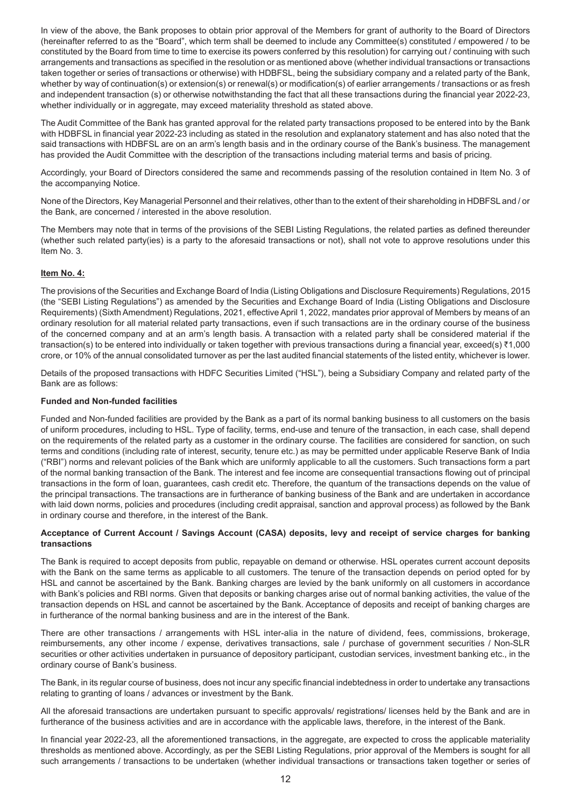In view of the above, the Bank proposes to obtain prior approval of the Members for grant of authority to the Board of Directors (hereinafter referred to as the "Board", which term shall be deemed to include any Committee(s) constituted / empowered / to be constituted by the Board from time to time to exercise its powers conferred by this resolution) for carrying out / continuing with such arrangements and transactions as specified in the resolution or as mentioned above (whether individual transactions or transactions taken together or series of transactions or otherwise) with HDBFSL, being the subsidiary company and a related party of the Bank, whether by way of continuation(s) or extension(s) or renewal(s) or modification(s) of earlier arrangements / transactions or as fresh and independent transaction (s) or otherwise notwithstanding the fact that all these transactions during the financial year 2022-23, whether individually or in aggregate, may exceed materiality threshold as stated above.

The Audit Committee of the Bank has granted approval for the related party transactions proposed to be entered into by the Bank with HDBFSL in financial year 2022-23 including as stated in the resolution and explanatory statement and has also noted that the said transactions with HDBFSL are on an arm's length basis and in the ordinary course of the Bank's business. The management has provided the Audit Committee with the description of the transactions including material terms and basis of pricing.

Accordingly, your Board of Directors considered the same and recommends passing of the resolution contained in Item No. 3 of the accompanying Notice.

None of the Directors, Key Managerial Personnel and their relatives, other than to the extent of their shareholding in HDBFSL and / or the Bank, are concerned / interested in the above resolution.

The Members may note that in terms of the provisions of the SEBI Listing Regulations, the related parties as defined thereunder (whether such related party(ies) is a party to the aforesaid transactions or not), shall not vote to approve resolutions under this Item No. 3.

# **Item No. 4:**

The provisions of the Securities and Exchange Board of India (Listing Obligations and Disclosure Requirements) Regulations, 2015 (the "SEBI Listing Regulations") as amended by the Securities and Exchange Board of India (Listing Obligations and Disclosure Requirements) (Sixth Amendment) Regulations, 2021, effective April 1, 2022, mandates prior approval of Members by means of an ordinary resolution for all material related party transactions, even if such transactions are in the ordinary course of the business of the concerned company and at an arm's length basis. A transaction with a related party shall be considered material if the transaction(s) to be entered into individually or taken together with previous transactions during a financial year, exceed(s) ₹1,000 crore, or 10% of the annual consolidated turnover as per the last audited financial statements of the listed entity, whichever is lower.

Details of the proposed transactions with HDFC Securities Limited ("HSL"), being a Subsidiary Company and related party of the Bank are as follows:

#### **Funded and Non-funded facilities**

Funded and Non-funded facilities are provided by the Bank as a part of its normal banking business to all customers on the basis of uniform procedures, including to HSL. Type of facility, terms, end-use and tenure of the transaction, in each case, shall depend on the requirements of the related party as a customer in the ordinary course. The facilities are considered for sanction, on such terms and conditions (including rate of interest, security, tenure etc.) as may be permitted under applicable Reserve Bank of India ("RBI") norms and relevant policies of the Bank which are uniformly applicable to all the customers. Such transactions form a part of the normal banking transaction of the Bank. The interest and fee income are consequential transactions flowing out of principal transactions in the form of loan, guarantees, cash credit etc. Therefore, the quantum of the transactions depends on the value of the principal transactions. The transactions are in furtherance of banking business of the Bank and are undertaken in accordance with laid down norms, policies and procedures (including credit appraisal, sanction and approval process) as followed by the Bank in ordinary course and therefore, in the interest of the Bank.

#### **Acceptance of Current Account / Savings Account (CASA) deposits, levy and receipt of service charges for banking transactions**

The Bank is required to accept deposits from public, repayable on demand or otherwise. HSL operates current account deposits with the Bank on the same terms as applicable to all customers. The tenure of the transaction depends on period opted for by HSL and cannot be ascertained by the Bank. Banking charges are levied by the bank uniformly on all customers in accordance with Bank's policies and RBI norms. Given that deposits or banking charges arise out of normal banking activities, the value of the transaction depends on HSL and cannot be ascertained by the Bank. Acceptance of deposits and receipt of banking charges are in furtherance of the normal banking business and are in the interest of the Bank.

There are other transactions / arrangements with HSL inter-alia in the nature of dividend, fees, commissions, brokerage, reimbursements, any other income / expense, derivatives transactions, sale / purchase of government securities / Non-SLR securities or other activities undertaken in pursuance of depository participant, custodian services, investment banking etc., in the ordinary course of Bank's business.

The Bank, in its regular course of business, does not incur any specific financial indebtedness in order to undertake any transactions relating to granting of loans / advances or investment by the Bank.

All the aforesaid transactions are undertaken pursuant to specific approvals/ registrations/ licenses held by the Bank and are in furtherance of the business activities and are in accordance with the applicable laws, therefore, in the interest of the Bank.

In financial year 2022-23, all the aforementioned transactions, in the aggregate, are expected to cross the applicable materiality thresholds as mentioned above. Accordingly, as per the SEBI Listing Regulations, prior approval of the Members is sought for all such arrangements / transactions to be undertaken (whether individual transactions or transactions taken together or series of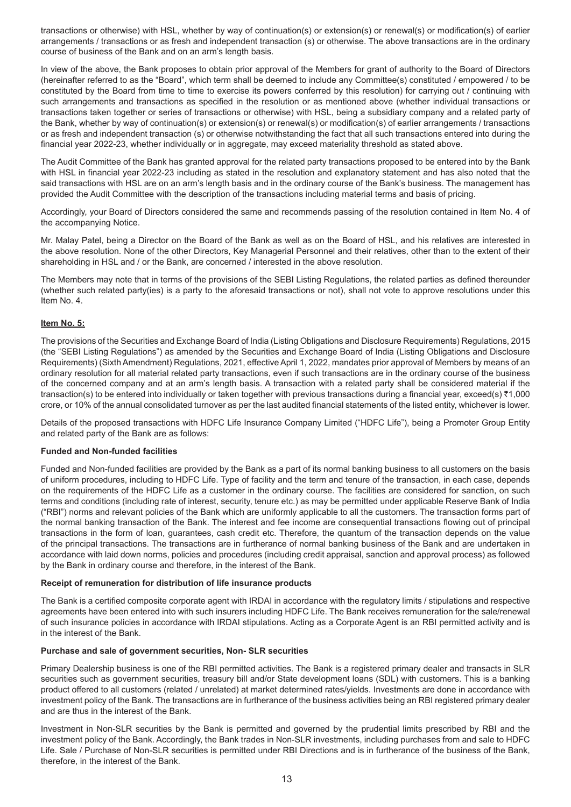transactions or otherwise) with HSL, whether by way of continuation(s) or extension(s) or renewal(s) or modification(s) of earlier arrangements / transactions or as fresh and independent transaction (s) or otherwise. The above transactions are in the ordinary course of business of the Bank and on an arm's length basis.

In view of the above, the Bank proposes to obtain prior approval of the Members for grant of authority to the Board of Directors (hereinafter referred to as the "Board", which term shall be deemed to include any Committee(s) constituted / empowered / to be constituted by the Board from time to time to exercise its powers conferred by this resolution) for carrying out / continuing with such arrangements and transactions as specified in the resolution or as mentioned above (whether individual transactions or transactions taken together or series of transactions or otherwise) with HSL, being a subsidiary company and a related party of the Bank, whether by way of continuation(s) or extension(s) or renewal(s) or modification(s) of earlier arrangements / transactions or as fresh and independent transaction (s) or otherwise notwithstanding the fact that all such transactions entered into during the financial year 2022-23, whether individually or in aggregate, may exceed materiality threshold as stated above.

The Audit Committee of the Bank has granted approval for the related party transactions proposed to be entered into by the Bank with HSL in financial year 2022-23 including as stated in the resolution and explanatory statement and has also noted that the said transactions with HSL are on an arm's length basis and in the ordinary course of the Bank's business. The management has provided the Audit Committee with the description of the transactions including material terms and basis of pricing.

Accordingly, your Board of Directors considered the same and recommends passing of the resolution contained in Item No. 4 of the accompanying Notice.

Mr. Malay Patel, being a Director on the Board of the Bank as well as on the Board of HSL, and his relatives are interested in the above resolution. None of the other Directors, Key Managerial Personnel and their relatives, other than to the extent of their shareholding in HSL and / or the Bank, are concerned / interested in the above resolution.

The Members may note that in terms of the provisions of the SEBI Listing Regulations, the related parties as defined thereunder (whether such related party(ies) is a party to the aforesaid transactions or not), shall not vote to approve resolutions under this Item No. 4.

# **Item No. 5:**

The provisions of the Securities and Exchange Board of India (Listing Obligations and Disclosure Requirements) Regulations, 2015 (the "SEBI Listing Regulations") as amended by the Securities and Exchange Board of India (Listing Obligations and Disclosure Requirements) (Sixth Amendment) Regulations, 2021, effective April 1, 2022, mandates prior approval of Members by means of an ordinary resolution for all material related party transactions, even if such transactions are in the ordinary course of the business of the concerned company and at an arm's length basis. A transaction with a related party shall be considered material if the transaction(s) to be entered into individually or taken together with previous transactions during a financial year, exceed(s) ₹1,000 crore, or 10% of the annual consolidated turnover as per the last audited financial statements of the listed entity, whichever is lower.

Details of the proposed transactions with HDFC Life Insurance Company Limited ("HDFC Life"), being a Promoter Group Entity and related party of the Bank are as follows:

#### **Funded and Non-funded facilities**

Funded and Non-funded facilities are provided by the Bank as a part of its normal banking business to all customers on the basis of uniform procedures, including to HDFC Life. Type of facility and the term and tenure of the transaction, in each case, depends on the requirements of the HDFC Life as a customer in the ordinary course. The facilities are considered for sanction, on such terms and conditions (including rate of interest, security, tenure etc.) as may be permitted under applicable Reserve Bank of India ("RBI") norms and relevant policies of the Bank which are uniformly applicable to all the customers. The transaction forms part of the normal banking transaction of the Bank. The interest and fee income are consequential transactions flowing out of principal transactions in the form of loan, guarantees, cash credit etc. Therefore, the quantum of the transaction depends on the value of the principal transactions. The transactions are in furtherance of normal banking business of the Bank and are undertaken in accordance with laid down norms, policies and procedures (including credit appraisal, sanction and approval process) as followed by the Bank in ordinary course and therefore, in the interest of the Bank.

#### **Receipt of remuneration for distribution of life insurance products**

The Bank is a certified composite corporate agent with IRDAI in accordance with the regulatory limits / stipulations and respective agreements have been entered into with such insurers including HDFC Life. The Bank receives remuneration for the sale/renewal of such insurance policies in accordance with IRDAI stipulations. Acting as a Corporate Agent is an RBI permitted activity and is in the interest of the Bank.

#### **Purchase and sale of government securities, Non- SLR securities**

Primary Dealership business is one of the RBI permitted activities. The Bank is a registered primary dealer and transacts in SLR securities such as government securities, treasury bill and/or State development loans (SDL) with customers. This is a banking product offered to all customers (related / unrelated) at market determined rates/yields. Investments are done in accordance with investment policy of the Bank. The transactions are in furtherance of the business activities being an RBI registered primary dealer and are thus in the interest of the Bank.

Investment in Non-SLR securities by the Bank is permitted and governed by the prudential limits prescribed by RBI and the investment policy of the Bank. Accordingly, the Bank trades in Non-SLR investments, including purchases from and sale to HDFC Life. Sale / Purchase of Non-SLR securities is permitted under RBI Directions and is in furtherance of the business of the Bank, therefore, in the interest of the Bank.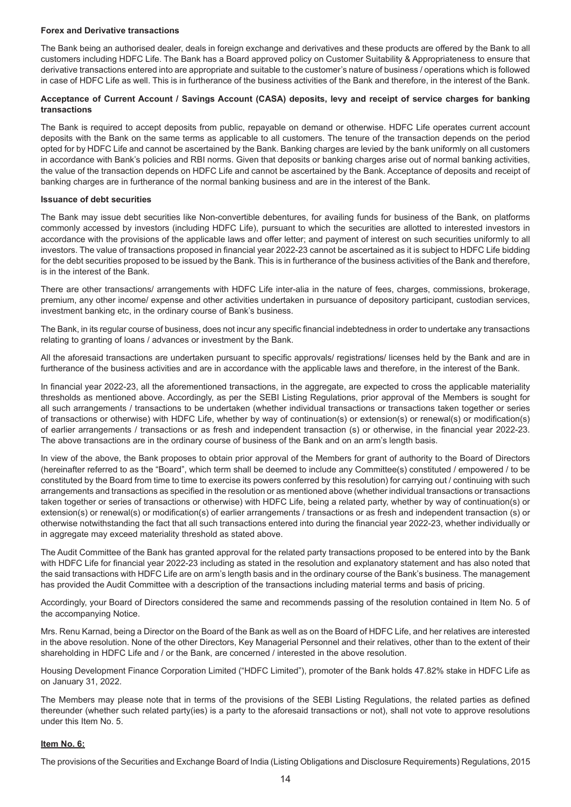#### **Forex and Derivative transactions**

The Bank being an authorised dealer, deals in foreign exchange and derivatives and these products are offered by the Bank to all customers including HDFC Life. The Bank has a Board approved policy on Customer Suitability & Appropriateness to ensure that derivative transactions entered into are appropriate and suitable to the customer's nature of business / operations which is followed in case of HDFC Life as well. This is in furtherance of the business activities of the Bank and therefore, in the interest of the Bank.

# **Acceptance of Current Account / Savings Account (CASA) deposits, levy and receipt of service charges for banking transactions**

The Bank is required to accept deposits from public, repayable on demand or otherwise. HDFC Life operates current account deposits with the Bank on the same terms as applicable to all customers. The tenure of the transaction depends on the period opted for by HDFC Life and cannot be ascertained by the Bank. Banking charges are levied by the bank uniformly on all customers in accordance with Bank's policies and RBI norms. Given that deposits or banking charges arise out of normal banking activities, the value of the transaction depends on HDFC Life and cannot be ascertained by the Bank. Acceptance of deposits and receipt of banking charges are in furtherance of the normal banking business and are in the interest of the Bank.

#### **Issuance of debt securities**

The Bank may issue debt securities like Non-convertible debentures, for availing funds for business of the Bank, on platforms commonly accessed by investors (including HDFC Life), pursuant to which the securities are allotted to interested investors in accordance with the provisions of the applicable laws and offer letter; and payment of interest on such securities uniformly to all investors. The value of transactions proposed in financial year 2022-23 cannot be ascertained as it is subject to HDFC Life bidding for the debt securities proposed to be issued by the Bank. This is in furtherance of the business activities of the Bank and therefore, is in the interest of the Bank.

There are other transactions/ arrangements with HDFC Life inter-alia in the nature of fees, charges, commissions, brokerage, premium, any other income/ expense and other activities undertaken in pursuance of depository participant, custodian services, investment banking etc, in the ordinary course of Bank's business.

The Bank, in its regular course of business, does not incur any specific financial indebtedness in order to undertake any transactions relating to granting of loans / advances or investment by the Bank.

All the aforesaid transactions are undertaken pursuant to specific approvals/ registrations/ licenses held by the Bank and are in furtherance of the business activities and are in accordance with the applicable laws and therefore, in the interest of the Bank.

In financial year 2022-23, all the aforementioned transactions, in the aggregate, are expected to cross the applicable materiality thresholds as mentioned above. Accordingly, as per the SEBI Listing Regulations, prior approval of the Members is sought for all such arrangements / transactions to be undertaken (whether individual transactions or transactions taken together or series of transactions or otherwise) with HDFC Life, whether by way of continuation(s) or extension(s) or renewal(s) or modification(s) of earlier arrangements / transactions or as fresh and independent transaction (s) or otherwise, in the financial year 2022-23. The above transactions are in the ordinary course of business of the Bank and on an arm's length basis.

In view of the above, the Bank proposes to obtain prior approval of the Members for grant of authority to the Board of Directors (hereinafter referred to as the "Board", which term shall be deemed to include any Committee(s) constituted / empowered / to be constituted by the Board from time to time to exercise its powers conferred by this resolution) for carrying out / continuing with such arrangements and transactions as specified in the resolution or as mentioned above (whether individual transactions or transactions taken together or series of transactions or otherwise) with HDFC Life, being a related party, whether by way of continuation(s) or extension(s) or renewal(s) or modification(s) of earlier arrangements / transactions or as fresh and independent transaction (s) or otherwise notwithstanding the fact that all such transactions entered into during the financial year 2022-23, whether individually or in aggregate may exceed materiality threshold as stated above.

The Audit Committee of the Bank has granted approval for the related party transactions proposed to be entered into by the Bank with HDFC Life for financial year 2022-23 including as stated in the resolution and explanatory statement and has also noted that the said transactions with HDFC Life are on arm's length basis and in the ordinary course of the Bank's business. The management has provided the Audit Committee with a description of the transactions including material terms and basis of pricing.

Accordingly, your Board of Directors considered the same and recommends passing of the resolution contained in Item No. 5 of the accompanying Notice.

Mrs. Renu Karnad, being a Director on the Board of the Bank as well as on the Board of HDFC Life, and her relatives are interested in the above resolution. None of the other Directors, Key Managerial Personnel and their relatives, other than to the extent of their shareholding in HDFC Life and / or the Bank, are concerned / interested in the above resolution.

Housing Development Finance Corporation Limited ("HDFC Limited"), promoter of the Bank holds 47.82% stake in HDFC Life as on January 31, 2022.

The Members may please note that in terms of the provisions of the SEBI Listing Regulations, the related parties as defined thereunder (whether such related party(ies) is a party to the aforesaid transactions or not), shall not vote to approve resolutions under this Item No. 5.

# **Item No. 6:**

The provisions of the Securities and Exchange Board of India (Listing Obligations and Disclosure Requirements) Regulations, 2015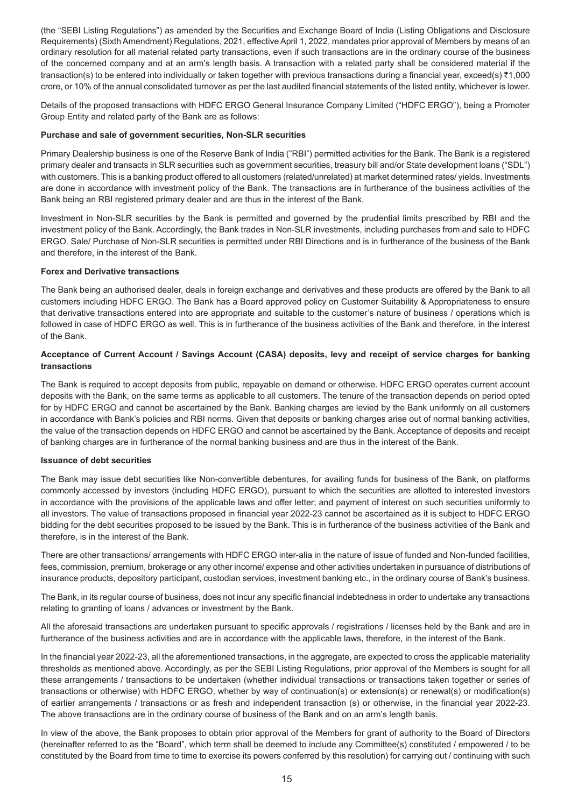(the "SEBI Listing Regulations") as amended by the Securities and Exchange Board of India (Listing Obligations and Disclosure Requirements) (Sixth Amendment) Regulations, 2021, effective April 1, 2022, mandates prior approval of Members by means of an ordinary resolution for all material related party transactions, even if such transactions are in the ordinary course of the business of the concerned company and at an arm's length basis. A transaction with a related party shall be considered material if the transaction(s) to be entered into individually or taken together with previous transactions during a financial year, exceed(s) ₹1,000 crore, or 10% of the annual consolidated turnover as per the last audited financial statements of the listed entity, whichever is lower.

Details of the proposed transactions with HDFC ERGO General Insurance Company Limited ("HDFC ERGO"), being a Promoter Group Entity and related party of the Bank are as follows:

## **Purchase and sale of government securities, Non-SLR securities**

Primary Dealership business is one of the Reserve Bank of India ("RBI") permitted activities for the Bank. The Bank is a registered primary dealer and transacts in SLR securities such as government securities, treasury bill and/or State development loans ("SDL") with customers. This is a banking product offered to all customers (related/unrelated) at market determined rates/ yields. Investments are done in accordance with investment policy of the Bank. The transactions are in furtherance of the business activities of the Bank being an RBI registered primary dealer and are thus in the interest of the Bank.

Investment in Non-SLR securities by the Bank is permitted and governed by the prudential limits prescribed by RBI and the investment policy of the Bank. Accordingly, the Bank trades in Non-SLR investments, including purchases from and sale to HDFC ERGO. Sale/ Purchase of Non-SLR securities is permitted under RBI Directions and is in furtherance of the business of the Bank and therefore, in the interest of the Bank.

### **Forex and Derivative transactions**

The Bank being an authorised dealer, deals in foreign exchange and derivatives and these products are offered by the Bank to all customers including HDFC ERGO. The Bank has a Board approved policy on Customer Suitability & Appropriateness to ensure that derivative transactions entered into are appropriate and suitable to the customer's nature of business / operations which is followed in case of HDFC ERGO as well. This is in furtherance of the business activities of the Bank and therefore, in the interest of the Bank.

# **Acceptance of Current Account / Savings Account (CASA) deposits, levy and receipt of service charges for banking transactions**

The Bank is required to accept deposits from public, repayable on demand or otherwise. HDFC ERGO operates current account deposits with the Bank, on the same terms as applicable to all customers. The tenure of the transaction depends on period opted for by HDFC ERGO and cannot be ascertained by the Bank. Banking charges are levied by the Bank uniformly on all customers in accordance with Bank's policies and RBI norms. Given that deposits or banking charges arise out of normal banking activities, the value of the transaction depends on HDFC ERGO and cannot be ascertained by the Bank. Acceptance of deposits and receipt of banking charges are in furtherance of the normal banking business and are thus in the interest of the Bank.

#### **Issuance of debt securities**

The Bank may issue debt securities like Non-convertible debentures, for availing funds for business of the Bank, on platforms commonly accessed by investors (including HDFC ERGO), pursuant to which the securities are allotted to interested investors in accordance with the provisions of the applicable laws and offer letter; and payment of interest on such securities uniformly to all investors. The value of transactions proposed in financial year 2022-23 cannot be ascertained as it is subject to HDFC ERGO bidding for the debt securities proposed to be issued by the Bank. This is in furtherance of the business activities of the Bank and therefore, is in the interest of the Bank.

There are other transactions/ arrangements with HDFC ERGO inter-alia in the nature of issue of funded and Non-funded facilities, fees, commission, premium, brokerage or any other income/ expense and other activities undertaken in pursuance of distributions of insurance products, depository participant, custodian services, investment banking etc., in the ordinary course of Bank's business.

The Bank, in its regular course of business, does not incur any specific financial indebtedness in order to undertake any transactions relating to granting of loans / advances or investment by the Bank.

All the aforesaid transactions are undertaken pursuant to specific approvals / registrations / licenses held by the Bank and are in furtherance of the business activities and are in accordance with the applicable laws, therefore, in the interest of the Bank.

In the financial year 2022-23, all the aforementioned transactions, in the aggregate, are expected to cross the applicable materiality thresholds as mentioned above. Accordingly, as per the SEBI Listing Regulations, prior approval of the Members is sought for all these arrangements / transactions to be undertaken (whether individual transactions or transactions taken together or series of transactions or otherwise) with HDFC ERGO, whether by way of continuation(s) or extension(s) or renewal(s) or modification(s) of earlier arrangements / transactions or as fresh and independent transaction (s) or otherwise, in the financial year 2022-23. The above transactions are in the ordinary course of business of the Bank and on an arm's length basis.

In view of the above, the Bank proposes to obtain prior approval of the Members for grant of authority to the Board of Directors (hereinafter referred to as the "Board", which term shall be deemed to include any Committee(s) constituted / empowered / to be constituted by the Board from time to time to exercise its powers conferred by this resolution) for carrying out / continuing with such